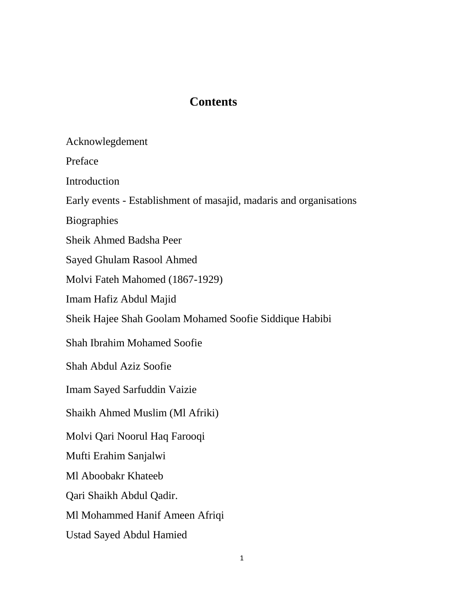# **Contents**

Acknowlegdement

Preface

Introduction

Early events - Establishment of masajid, madaris and organisations

Biographies

Sheik Ahmed Badsha Peer

Sayed Ghulam Rasool Ahmed

Molvi Fateh Mahomed (1867-1929)

Imam Hafiz Abdul Majid

Sheik Hajee Shah Goolam Mohamed Soofie Siddique Habibi

Shah Ibrahim Mohamed Soofie

Shah Abdul Aziz Soofie

Imam Sayed Sarfuddin Vaizie

Shaikh Ahmed Muslim (Ml Afriki)

Molvi Qari Noorul Haq Farooqi

Mufti Erahim Sanjalwi

Ml Aboobakr Khateeb

Qari Shaikh Abdul Qadir.

Ml Mohammed Hanif Ameen Afriqi

Ustad Sayed Abdul Hamied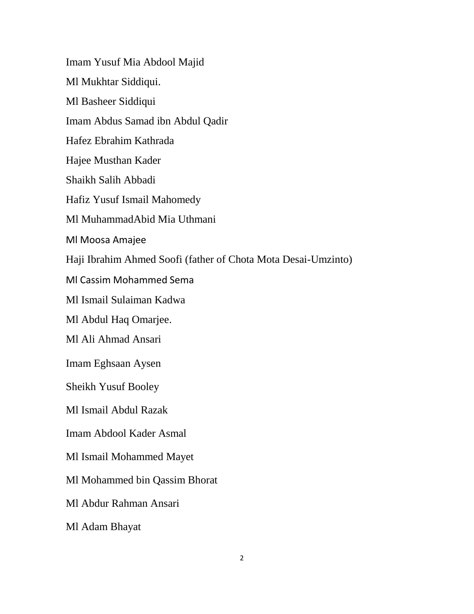Imam Yusuf Mia Abdool Majid Ml Mukhtar Siddiqui. Ml Basheer Siddiqui Imam Abdus Samad ibn Abdul Qadir Hafez Ebrahim Kathrada Hajee Musthan Kader Shaikh Salih Abbadi Hafiz Yusuf Ismail Mahomedy Ml MuhammadAbid Mia Uthmani Ml Moosa Amajee Haji Ibrahim Ahmed Soofi (father of Chota Mota Desai-Umzinto) Ml Cassim Mohammed Sema Ml Ismail Sulaiman Kadwa Ml Abdul Haq Omarjee. Ml [Ali Ahmad Ansari](http://en.wikipedia.org/w/index.php?title=Ali_Ahmad_Ansari&action=edit&redlink=1) Imam Eghsaan Aysen Sheikh Yusuf Booley Ml Ismail Abdul Razak Imam Abdool Kader Asmal Ml Ismail Mohammed Mayet Ml Mohammed bin Qassim Bhorat Ml Abdur Rahman Ansari Ml Adam Bhayat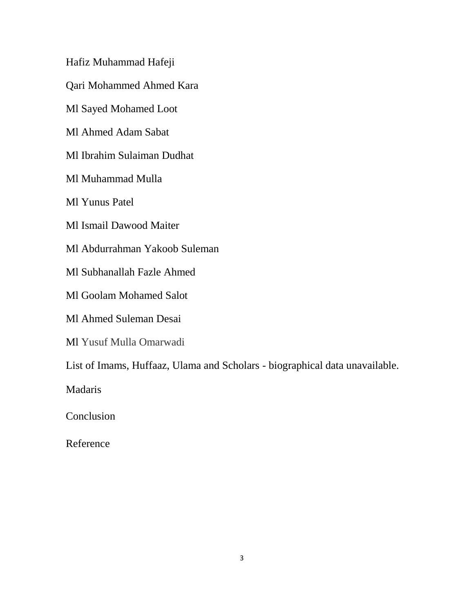Hafiz Muhammad Hafeji

Qari Mohammed Ahmed Kara

Ml Sayed Mohamed Loot

Ml Ahmed Adam Sabat

Ml Ibrahim Sulaiman Dudhat

Ml Muhammad Mulla

Ml Yunus Patel

Ml Ismail Dawood Maiter

Ml Abdurrahman Yakoob Suleman

Ml Subhanallah Fazle Ahmed

Ml Goolam Mohamed Salot

Ml Ahmed Suleman Desai

Ml Yusuf Mulla Omarwadi

List of Imams, Huffaaz, Ulama and Scholars - biographical data unavailable.

Madaris

Conclusion

Reference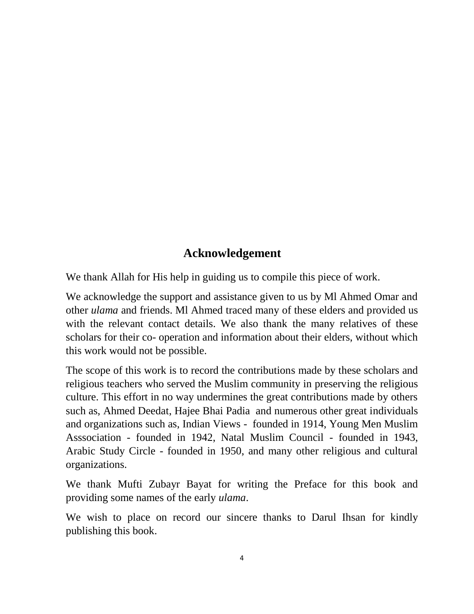# **Acknowledgement**

We thank Allah for His help in guiding us to compile this piece of work.

We acknowledge the support and assistance given to us by Ml Ahmed Omar and other *ulama* and friends. Ml Ahmed traced many of these elders and provided us with the relevant contact details. We also thank the many relatives of these scholars for their co- operation and information about their elders, without which this work would not be possible.

The scope of this work is to record the contributions made by these scholars and religious teachers who served the Muslim community in preserving the religious culture. This effort in no way undermines the great contributions made by others such as, Ahmed Deedat, Hajee Bhai Padia and numerous other great individuals and organizations such as, Indian Views - founded in 1914, Young Men Muslim Asssociation - founded in 1942, Natal Muslim Council - founded in 1943, Arabic Study Circle - founded in 1950, and many other religious and cultural organizations.

We thank Mufti Zubayr Bayat for writing the Preface for this book and providing some names of the early *ulama*.

We wish to place on record our sincere thanks to Darul Ihsan for kindly publishing this book.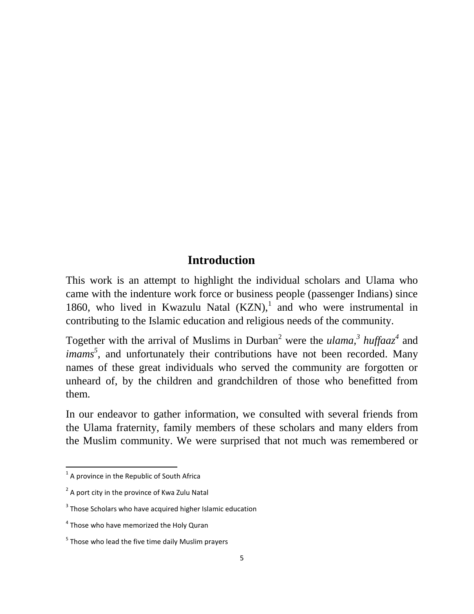# **Introduction**

This work is an attempt to highlight the individual scholars and Ulama who came with the indenture work force or business people (passenger Indians) since 1860, who lived in Kwazulu Natal  $(KZN)$ ,<sup>1</sup> and who were instrumental in contributing to the Islamic education and religious needs of the community.

Together with the arrival of Muslims in Durban<sup>2</sup> were the *ulama*,<sup>3</sup> *huffaaz*<sup>4</sup> and *imams*<sup>5</sup>, and unfortunately their contributions have not been recorded. Many names of these great individuals who served the community are forgotten or unheard of, by the children and grandchildren of those who benefitted from them.

In our endeavor to gather information, we consulted with several friends from the Ulama fraternity, family members of these scholars and many elders from the Muslim community. We were surprised that not much was remembered or

 1 A province in the Republic of South Africa

 $2$  A port city in the province of Kwa Zulu Natal

 $3$  Those Scholars who have acquired higher Islamic education

<sup>&</sup>lt;sup>4</sup> Those who have memorized the Holy Quran

<sup>&</sup>lt;sup>5</sup> Those who lead the five time daily Muslim prayers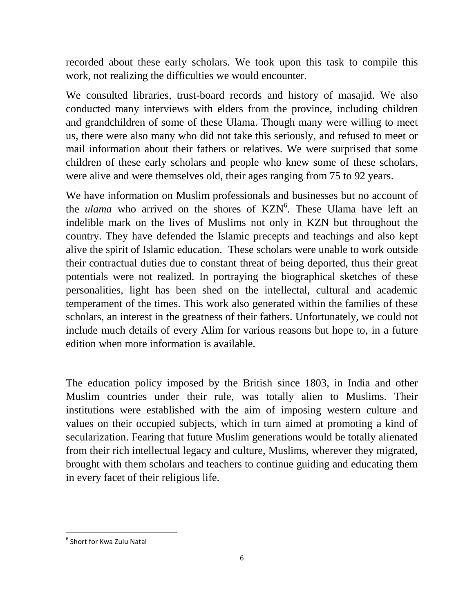recorded about these early scholars. We took upon this task to compile this work, not realizing the difficulties we would encounter.

We consulted libraries, trust-board records and history of masajid. We also conducted many interviews with elders from the province, including children and grandchildren of some of these Ulama. Though many were willing to meet us, there were also many who did not take this seriously, and refused to meet or mail information about their fathers or relatives. We were surprised that some children of these early scholars and people who knew some of these scholars, were alive and were themselves old, their ages ranging from 75 to 92 years.

We have information on Muslim professionals and businesses but no account of the *ulama* who arrived on the shores of KZN<sup>6</sup>. These Ulama have left an indelible mark on the lives of Muslims not only in KZN but throughout the country. They have defended the Islamic precepts and teachings and also kept alive the spirit of Islamic education. These scholars were unable to work outside their contractual duties due to constant threat of being deported, thus their great potentials were not realized. In portraying the biographical sketches of these personalities, light has been shed on the intellectal, cultural and academic temperament of the times. This work also generated within the families of these scholars, an interest in the greatness of their fathers. Unfortunately, we could not include much details of every Alim for various reasons but hope to, in a future edition when more information is available.

The education policy imposed by the British since 1803, in India and other Muslim countries under their rule, was totally alien to Muslims. Their institutions were established with the aim of imposing western culture and values on their occupied subjects, which in turn aimed at promoting a kind of secularization. Fearing that future Muslim generations would be totally alienated from their rich intellectual legacy and culture, Muslims, wherever they migrated, brought with them scholars and teachers to continue guiding and educating them in every facet of their religious life.

 $\ddot{\phantom{a}}$ 

<sup>&</sup>lt;sup>6</sup> Short for Kwa Zulu Natal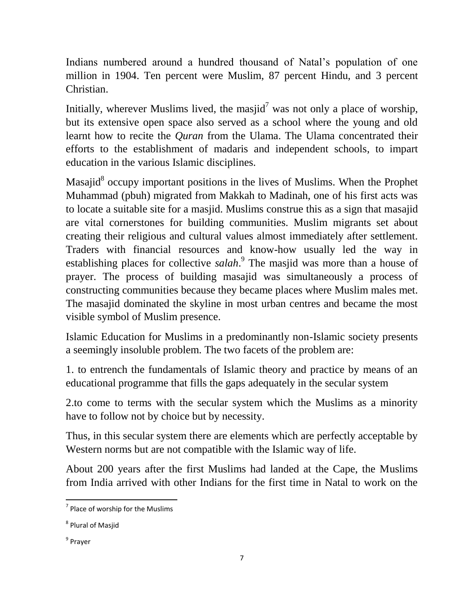Indians numbered around a hundred thousand of Natal's population of one million in 1904. Ten percent were Muslim, 87 percent Hindu, and 3 percent Christian.

Initially, wherever Muslims lived, the masjid<sup>7</sup> was not only a place of worship, but its extensive open space also served as a school where the young and old learnt how to recite the *Quran* from the Ulama. The Ulama concentrated their efforts to the establishment of madaris and independent schools, to impart education in the various Islamic disciplines.

Masajid<sup>8</sup> occupy important positions in the lives of Muslims. When the Prophet Muhammad (pbuh) migrated from Makkah to Madinah, one of his first acts was to locate a suitable site for a masjid. Muslims construe this as a sign that masajid are vital cornerstones for building communities. Muslim migrants set about creating their religious and cultural values almost immediately after settlement. Traders with financial resources and know-how usually led the way in establishing places for collective *salah*. 9 The masjid was more than a house of prayer. The process of building masajid was simultaneously a process of constructing communities because they became places where Muslim males met. The masajid dominated the skyline in most urban centres and became the most visible symbol of Muslim presence.

Islamic Education for Muslims in a predominantly non-Islamic society presents a seemingly insoluble problem. The two facets of the problem are:

1. to entrench the fundamentals of Islamic theory and practice by means of an educational programme that fills the gaps adequately in the secular system

2.to come to terms with the secular system which the Muslims as a minority have to follow not by choice but by necessity.

Thus, in this secular system there are elements which are perfectly acceptable by Western norms but are not compatible with the Islamic way of life.

About 200 years after the first Muslims had landed at the Cape, the Muslims from India arrived with other Indians for the first time in Natal to work on the

<sup>&</sup>lt;sup>7</sup> Place of worship for the Muslims

<sup>8</sup> Plural of Masjid

<sup>&</sup>lt;sup>9</sup> Prayer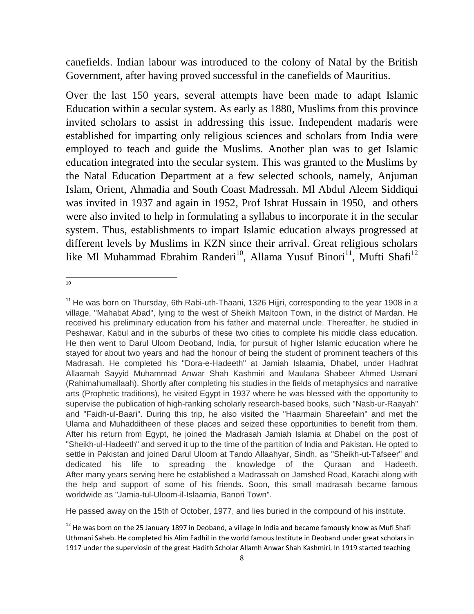canefields. Indian labour was introduced to the colony of Natal by the British Government, after having proved successful in the canefields of Mauritius.

Over the last 150 years, several attempts have been made to adapt Islamic Education within a secular system. As early as 1880, Muslims from this province invited scholars to assist in addressing this issue. Independent madaris were established for imparting only religious sciences and scholars from India were employed to teach and guide the Muslims. Another plan was to get Islamic education integrated into the secular system. This was granted to the Muslims by the Natal Education Department at a few selected schools, namely, Anjuman Islam, Orient, Ahmadia and South Coast Madressah. Ml Abdul Aleem Siddiqui was invited in 1937 and again in 1952, Prof Ishrat Hussain in 1950, and others were also invited to help in formulating a syllabus to incorporate it in the secular system. Thus, establishments to impart Islamic education always progressed at different levels by Muslims in KZN since their arrival. Great religious scholars like Ml Muhammad Ebrahim Randeri<sup>10</sup>, Allama Yusuf Binori<sup>11</sup>, Mufti Shafi<sup>12</sup>

 $\frac{1}{10}$ 

He passed away on the 15th of October, 1977, and lies buried in the compound of his institute.

<sup>&</sup>lt;sup>11</sup> He was born on Thursday, 6th Rabi-uth-Thaani, 1326 Hijjri, corresponding to the year 1908 in a village, "Mahabat Abad", lying to the west of Sheikh Maltoon Town, in the district of Mardan. He received his preliminary education from his father and maternal uncle. Thereafter, he studied in Peshawar, Kabul and in the suburbs of these two cities to complete his middle class education. He then went to Darul Uloom Deoband, India, for pursuit of higher Islamic education where he stayed for about two years and had the honour of being the student of prominent teachers of this Madrasah. He completed his "Dora-e-Hadeeth" at Jamiah Islaamia, Dhabel, under Hadhrat Allaamah Sayyid Muhammad Anwar Shah Kashmiri and Maulana Shabeer Ahmed Usmani (Rahimahumallaah). Shortly after completing his studies in the fields of metaphysics and narrative arts (Prophetic traditions), he visited Egypt in 1937 where he was blessed with the opportunity to supervise the publication of high-ranking scholarly research-based books, such "Nasb-ur-Raayah" and "Faidh-ul-Baari". During this trip, he also visited the "Haarmain Shareefain" and met the Ulama and Muhadditheen of these places and seized these opportunities to benefit from them. After his return from Egypt, he joined the Madrasah Jamiah Islamia at Dhabel on the post of "Sheikh-ul-Hadeeth" and served it up to the time of the partition of India and Pakistan. He opted to settle in Pakistan and joined Darul Uloom at Tando Allaahyar, Sindh, as "Sheikh-ut-Tafseer" and dedicated his life to spreading the knowledge of the Quraan and Hadeeth. After many years serving here he established a Madrassah on Jamshed Road, Karachi along with the help and support of some of his friends. Soon, this small madrasah became famous worldwide as "Jamia-tul-Uloom-il-Islaamia, Banori Town".

 $12$  He was born on the 25 January 1897 in Deoband, a village in India and became famously know as Mufi Shafi Uthmani Saheb. He completed his Alim Fadhil in the world famous Institute in Deoband under great scholars in 1917 under the superviosin of the great Hadith Scholar Allamh Anwar Shah Kashmiri. In 1919 started teaching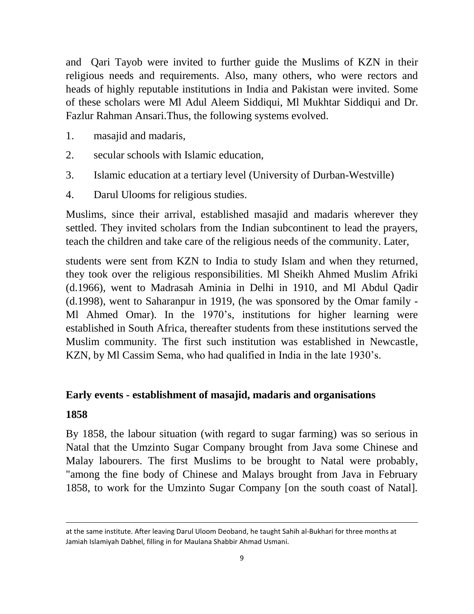and Qari Tayob were invited to further guide the Muslims of KZN in their religious needs and requirements. Also, many others, who were rectors and heads of highly reputable institutions in India and Pakistan were invited. Some of these scholars were Ml Adul Aleem Siddiqui, Ml Mukhtar Siddiqui and Dr. Fazlur Rahman Ansari.Thus, the following systems evolved.

- 1. masajid and madaris,
- 2. secular schools with Islamic education,
- 3. Islamic education at a tertiary level (University of Durban-Westville)
- 4. Darul Ulooms for religious studies.

Muslims, since their arrival, established masajid and madaris wherever they settled. They invited scholars from the Indian subcontinent to lead the prayers, teach the children and take care of the religious needs of the community. Later,

students were sent from KZN to India to study Islam and when they returned, they took over the religious responsibilities. Ml Sheikh Ahmed Muslim Afriki (d.1966), went to Madrasah Aminia in Delhi in 1910, and Ml Abdul Qadir (d.1998), went to Saharanpur in 1919, (he was sponsored by the Omar family - Ml Ahmed Omar). In the 1970's, institutions for higher learning were established in South Africa, thereafter students from these institutions served the Muslim community. The first such institution was established in Newcastle, KZN, by Ml Cassim Sema, who had qualified in India in the late 1930's.

#### **Early events - establishment of masajid, madaris and organisations**

#### **1858**

**.** 

By 1858, the labour situation (with regard to sugar farming) was so serious in Natal that the Umzinto Sugar Company brought from Java some Chinese and Malay labourers. The first Muslims to be brought to Natal were probably, "among the fine body of Chinese and Malays brought from Java in February 1858, to work for the Umzinto Sugar Company [on the south coast of Natal].

at the same institute. After leaving Darul Uloom Deoband, he taught Sahih al-Bukhari for three months at Jamiah Islamiyah Dabhel, filling in for Maulana Shabbir Ahmad Usmani.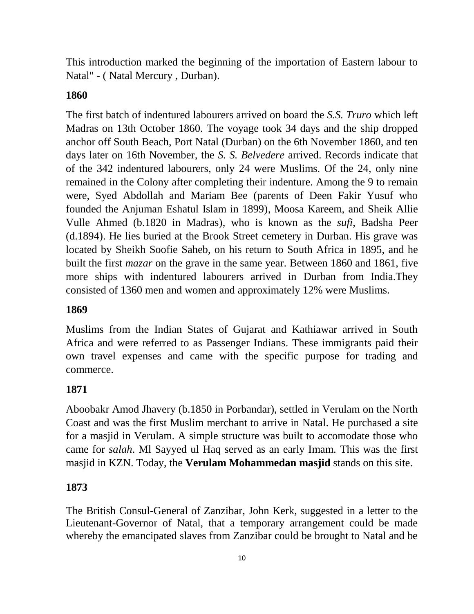This introduction marked the beginning of the importation of Eastern labour to Natal" - ( Natal Mercury , Durban).

# **1860**

The first batch of indentured labourers arrived on board the *S.S. Truro* which left Madras on 13th October 1860. The voyage took 34 days and the ship dropped anchor off South Beach, Port Natal (Durban) on the 6th November 1860, and ten days later on 16th November, the *S. S. Belvedere* arrived. Records indicate that of the 342 indentured labourers, only 24 were Muslims. Of the 24, only nine remained in the Colony after completing their indenture. Among the 9 to remain were, Syed Abdollah and Mariam Bee (parents of Deen Fakir Yusuf who founded the Anjuman Eshatul Islam in 1899), Moosa Kareem, and Sheik Allie Vulle Ahmed (b.1820 in Madras), who is known as the *sufi*, Badsha Peer (d.1894). He lies buried at the Brook Street cemetery in Durban. His grave was located by Sheikh Soofie Saheb, on his return to South Africa in 1895, and he built the first *mazar* on the grave in the same year. Between 1860 and 1861, five more ships with indentured labourers arrived in Durban from India.They consisted of 1360 men and women and approximately 12% were Muslims.

# **1869**

Muslims from the Indian States of Gujarat and Kathiawar arrived in South Africa and were referred to as Passenger Indians. These immigrants paid their own travel expenses and came with the specific purpose for trading and commerce.

# **1871**

Aboobakr Amod Jhavery (b.1850 in Porbandar), settled in Verulam on the North Coast and was the first Muslim merchant to arrive in Natal. He purchased a site for a masjid in Verulam. A simple structure was built to accomodate those who came for *salah*. Ml Sayyed ul Haq served as an early Imam. This was the first masjid in KZN. Today, the **Verulam Mohammedan masjid** stands on this site.

## **1873**

The British Consul-General of Zanzibar, John Kerk, suggested in a letter to the Lieutenant-Governor of Natal, that a temporary arrangement could be made whereby the emancipated slaves from Zanzibar could be brought to Natal and be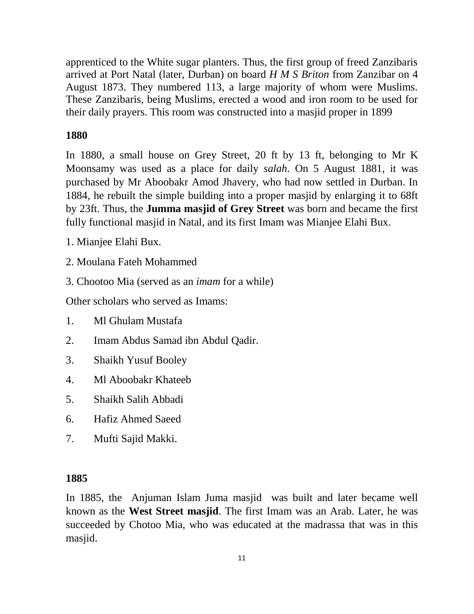apprenticed to the White sugar planters. Thus, the first group of freed Zanzibaris arrived at Port Natal (later, Durban) on board *H M S Briton* from Zanzibar on 4 August 1873. They numbered 113, a large majority of whom were Muslims. These Zanzibaris, being Muslims, erected a wood and iron room to be used for their daily prayers. This room was constructed into a masjid proper in 1899

# **1880**

In 1880, a small house on Grey Street, 20 ft by 13 ft, belonging to Mr K Moonsamy was used as a place for daily *salah*. On 5 August 1881, it was purchased by Mr Aboobakr Amod Jhavery, who had now settled in Durban. In 1884, he rebuilt the simple building into a proper masjid by enlarging it to 68ft by 23ft. Thus, the **Jumma masjid of Grey Street** was born and became the first fully functional masjid in Natal, and its first Imam was Mianjee Elahi Bux.

- 1. Mianjee Elahi Bux.
- 2. Moulana Fateh Mohammed
- 3. Chootoo Mia (served as an *imam* for a while)

Other scholars who served as Imams:

- 1. Ml Ghulam Mustafa
- 2. Imam Abdus Samad ibn Abdul Qadir.
- 3. Shaikh Yusuf Booley
- 4. Ml Aboobakr Khateeb
- 5. Shaikh Salih Abbadi
- 6. Hafiz Ahmed Saeed
- 7. Mufti Sajid Makki.

# **1885**

In 1885, the Anjuman Islam Juma masjid was built and later became well known as the **West Street masjid**. The first Imam was an Arab. Later, he was succeeded by Chotoo Mia, who was educated at the madrassa that was in this masjid.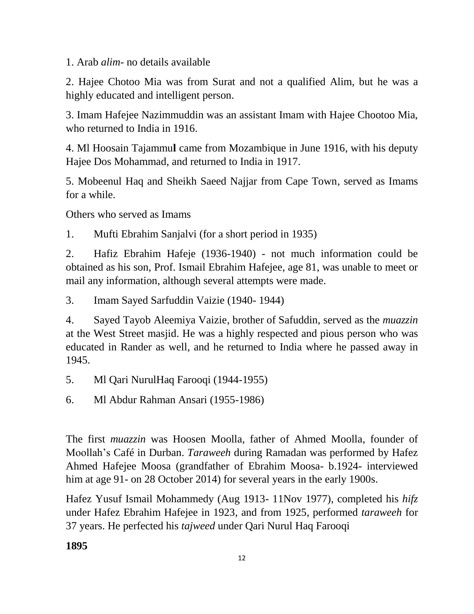1. Arab *alim*- no details available

2. Hajee Chotoo Mia was from Surat and not a qualified Alim, but he was a highly educated and intelligent person.

3. Imam Hafejee Nazimmuddin was an assistant Imam with Hajee Chootoo Mia, who returned to India in 1916.

4. Ml Hoosain Tajammu**l** came from Mozambique in June 1916, with his deputy Hajee Dos Mohammad, and returned to India in 1917.

5. Mobeenul Haq and Sheikh Saeed Najjar from Cape Town, served as Imams for a while.

Others who served as Imams

1. Mufti Ebrahim Sanjalvi (for a short period in 1935)

2. Hafiz Ebrahim Hafeje (1936-1940) - not much information could be obtained as his son, Prof. Ismail Ebrahim Hafejee, age 81, was unable to meet or mail any information, although several attempts were made.

3. Imam Sayed Sarfuddin Vaizie (1940- 1944)

4. Sayed Tayob Aleemiya Vaizie, brother of Safuddin, served as the *muazzin* at the West Street masjid. He was a highly respected and pious person who was educated in Rander as well, and he returned to India where he passed away in 1945.

- 5. Ml Qari NurulHaq Farooqi (1944-1955)
- 6. Ml Abdur Rahman Ansari (1955-1986)

The first *muazzin* was Hoosen Moolla, father of Ahmed Moolla, founder of Moollah's Café in Durban. *Taraweeh* during Ramadan was performed by Hafez Ahmed Hafejee Moosa (grandfather of Ebrahim Moosa- b.1924- interviewed him at age 91- on 28 October 2014) for several years in the early 1900s.

Hafez Yusuf Ismail Mohammedy (Aug 1913- 11Nov 1977), completed his *hifz* under Hafez Ebrahim Hafejee in 1923, and from 1925, performed *taraweeh* for 37 years. He perfected his *tajweed* under Qari Nurul Haq Farooqi

**1895**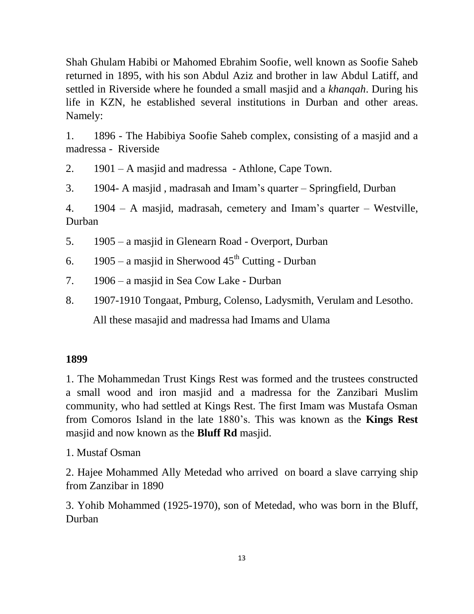Shah Ghulam Habibi or Mahomed Ebrahim Soofie, well known as Soofie Saheb returned in 1895, with his son Abdul Aziz and brother in law Abdul Latiff, and settled in Riverside where he founded a small masjid and a *khanqah*. During his life in KZN, he established several institutions in Durban and other areas. Namely:

1. 1896 - The Habibiya Soofie Saheb complex, consisting of a masjid and a madressa - Riverside

2. 1901 – A masjid and madressa - Athlone, Cape Town.

3. 1904- A masjid , madrasah and Imam's quarter – Springfield, Durban

4. 1904 – A masjid, madrasah, cemetery and Imam's quarter – Westville, Durban

5. 1905 – a masjid in Glenearn Road - Overport, Durban

6. 1905 – a masjid in Sherwood  $45<sup>th</sup>$  Cutting - Durban

7. 1906 – a masjid in Sea Cow Lake - Durban

8. 1907-1910 Tongaat, Pmburg, Colenso, Ladysmith, Verulam and Lesotho.

All these masajid and madressa had Imams and Ulama

### **1899**

1. The Mohammedan Trust Kings Rest was formed and the trustees constructed a small wood and iron masjid and a madressa for the Zanzibari Muslim community, who had settled at Kings Rest. The first Imam was Mustafa Osman from Comoros Island in the late 1880's. This was known as the **Kings Rest**  masjid and now known as the **Bluff Rd** masjid.

1. Mustaf Osman

2. Hajee Mohammed Ally Metedad who arrived on board a slave carrying ship from Zanzibar in 1890

3. Yohib Mohammed (1925-1970), son of Metedad, who was born in the Bluff, Durban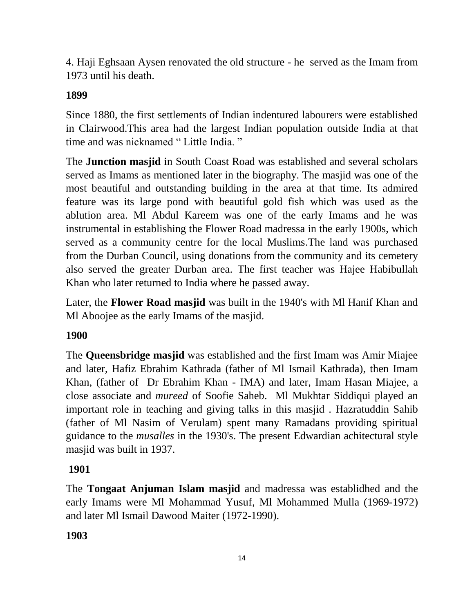4. Haji Eghsaan Aysen renovated the old structure - he served as the Imam from 1973 until his death.

# **1899**

Since 1880, the first settlements of Indian indentured labourers were established in Clairwood.This area had the largest Indian population outside India at that time and was nicknamed " Little India. "

The **Junction masjid** in South Coast Road was established and several scholars served as Imams as mentioned later in the biography. The masjid was one of the most beautiful and outstanding building in the area at that time. Its admired feature was its large pond with beautiful gold fish which was used as the ablution area. Ml Abdul Kareem was one of the early Imams and he was instrumental in establishing the Flower Road madressa in the early 1900s, which served as a community centre for the local Muslims.The land was purchased from the Durban Council, using donations from the community and its cemetery also served the greater Durban area. The first teacher was Hajee Habibullah Khan who later returned to India where he passed away.

Later, the **Flower Road masjid** was built in the 1940's with Ml Hanif Khan and Ml Aboojee as the early Imams of the masjid.

# **1900**

The **Queensbridge masjid** was established and the first Imam was Amir Miajee and later, Hafiz Ebrahim Kathrada (father of Ml Ismail Kathrada), then Imam Khan, (father of Dr Ebrahim Khan - IMA) and later, Imam Hasan Miajee, a close associate and *mureed* of Soofie Saheb. Ml Mukhtar Siddiqui played an important role in teaching and giving talks in this masjid . Hazratuddin Sahib (father of Ml Nasim of Verulam) spent many Ramadans providing spiritual guidance to the *musalles* in the 1930's. The present Edwardian achitectural style masjid was built in 1937.

## **1901**

The **Tongaat Anjuman Islam masjid** and madressa was establidhed and the early Imams were Ml Mohammad Yusuf, Ml Mohammed Mulla (1969-1972) and later Ml Ismail Dawood Maiter (1972-1990).

# **1903**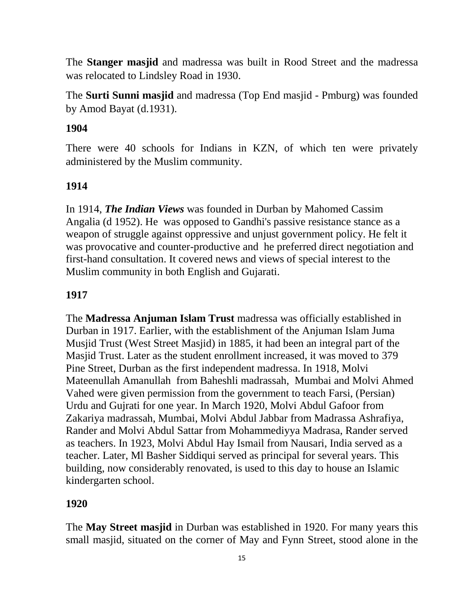The **Stanger masjid** and madressa was built in Rood Street and the madressa was relocated to Lindsley Road in 1930.

The **Surti Sunni masjid** and madressa (Top End masjid - Pmburg) was founded by Amod Bayat (d.1931).

### **1904**

There were 40 schools for Indians in KZN, of which ten were privately administered by the Muslim community.

#### **1914**

In 1914, *The Indian Views* was founded in Durban by Mahomed Cassim Angalia (d 1952). He was opposed to Gandhi's passive resistance stance as a weapon of struggle against oppressive and unjust government policy. He felt it was provocative and counter-productive and he preferred direct negotiation and first-hand consultation. It covered news and views of special interest to the Muslim community in both English and Gujarati.

#### **1917**

The **Madressa Anjuman Islam Trust** madressa was officially established in Durban in 1917. Earlier, with the establishment of the Anjuman Islam Juma Musjid Trust (West Street Masjid) in 1885, it had been an integral part of the Masjid Trust. Later as the student enrollment increased, it was moved to 379 Pine Street, Durban as the first independent madressa. In 1918, Molvi Mateenullah Amanullah from Baheshli madrassah, Mumbai and Molvi Ahmed Vahed were given permission from the government to teach Farsi, (Persian) Urdu and Gujrati for one year. In March 1920, Molvi Abdul Gafoor from Zakariya madrassah, Mumbai, Molvi Abdul Jabbar from Madrassa Ashrafiya, Rander and Molvi Abdul Sattar from Mohammediyya Madrasa, Rander served as teachers. In 1923, Molvi Abdul Hay Ismail from Nausari, India served as a teacher. Later, Ml Basher Siddiqui served as principal for several years. This building, now considerably renovated, is used to this day to house an Islamic kindergarten school.

#### **1920**

The **May Street masjid** in Durban was established in 1920. For many years this small masjid, situated on the corner of May and Fynn Street, stood alone in the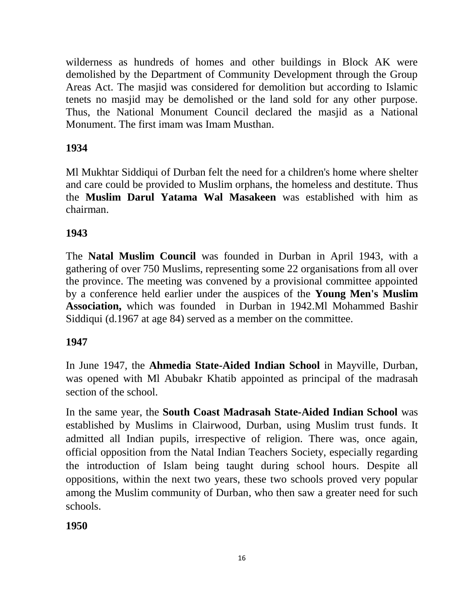wilderness as hundreds of homes and other buildings in Block AK were demolished by the Department of Community Development through the Group Areas Act. The masjid was considered for demolition but according to Islamic tenets no masjid may be demolished or the land sold for any other purpose. Thus, the National Monument Council declared the masjid as a National Monument. The first imam was Imam Musthan.

# **1934**

Ml Mukhtar Siddiqui of Durban felt the need for a children's home where shelter and care could be provided to Muslim orphans, the homeless and destitute. Thus the **Muslim Darul Yatama Wal Masakeen** was established with him as chairman.

## **1943**

The **Natal Muslim Council** was founded in Durban in April 1943, with a gathering of over 750 Muslims, representing some 22 organisations from all over the province. The meeting was convened by a provisional committee appointed by a conference held earlier under the auspices of the **Young Men's Muslim Association,** which was founded in Durban in 1942.Ml Mohammed Bashir Siddiqui (d.1967 at age 84) served as a member on the committee.

## **1947**

In June 1947, the **Ahmedia State-Aided Indian School** in Mayville, Durban, was opened with Ml Abubakr Khatib appointed as principal of the madrasah section of the school.

In the same year, the **South Coast Madrasah State-Aided Indian School** was established by Muslims in Clairwood, Durban, using Muslim trust funds. It admitted all Indian pupils, irrespective of religion. There was, once again, official opposition from the Natal Indian Teachers Society, especially regarding the introduction of Islam being taught during school hours. Despite all oppositions, within the next two years, these two schools proved very popular among the Muslim community of Durban, who then saw a greater need for such schools.

**1950**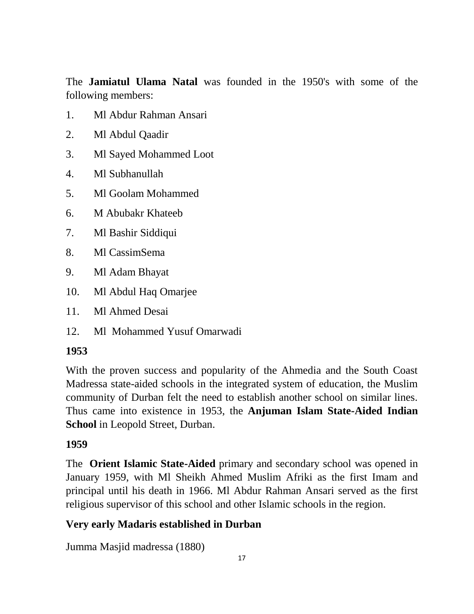The **Jamiatul Ulama Natal** was founded in the 1950's with some of the following members:

- 1. Ml Abdur Rahman Ansari
- 2. Ml Abdul Qaadir
- 3. Ml Sayed Mohammed Loot
- 4. Ml Subhanullah
- 5. Ml Goolam Mohammed
- 6. M Abubakr Khateeb
- 7. Ml Bashir Siddiqui
- 8. Ml CassimSema
- 9. Ml Adam Bhayat
- 10. Ml Abdul Haq Omarjee
- 11. Ml Ahmed Desai
- 12. Ml Mohammed Yusuf Omarwadi

### **1953**

With the proven success and popularity of the Ahmedia and the South Coast Madressa state-aided schools in the integrated system of education, the Muslim community of Durban felt the need to establish another school on similar lines. Thus came into existence in 1953, the **Anjuman Islam State-Aided Indian School** in Leopold Street, Durban.

#### **1959**

The **Orient Islamic State-Aided** primary and secondary school was opened in January 1959, with Ml Sheikh Ahmed Muslim Afriki as the first Imam and principal until his death in 1966. Ml Abdur Rahman Ansari served as the first religious supervisor of this school and other Islamic schools in the region.

### **Very early Madaris established in Durban**

Jumma Masjid madressa (1880)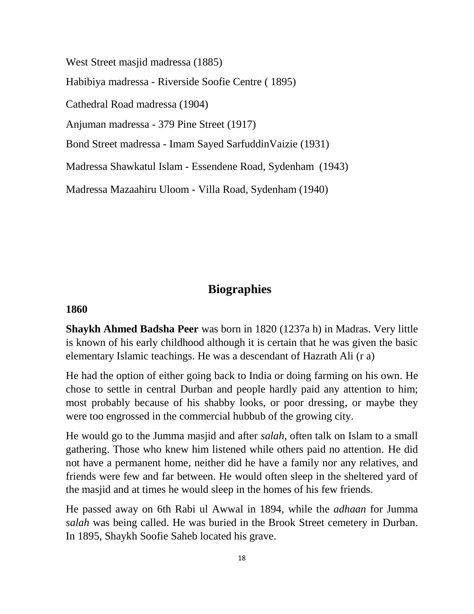West Street masjid madressa (1885)

Habibiya madressa - Riverside Soofie Centre ( 1895)

Cathedral Road madressa (1904)

Anjuman madressa - 379 Pine Street (1917)

Bond Street madressa - Imam Sayed SarfuddinVaizie (1931)

Madressa Shawkatul Islam - Essendene Road, Sydenham (1943)

Madressa Mazaahiru Uloom - Villa Road, Sydenham (1940)

## **Biographies**

#### **1860**

**Shaykh Ahmed Badsha Peer** was born in 1820 (1237a h) in Madras. Very little is known of his early childhood although it is certain that he was given the basic elementary Islamic teachings. He was a descendant of Hazrath Ali (r a)

He had the option of either going back to India or doing farming on his own. He chose to settle in central Durban and people hardly paid any attention to him; most probably because of his shabby looks, or poor dressing, or maybe they were too engrossed in the commercial hubbub of the growing city.

He would go to the Jumma masjid and after *salah*, often talk on Islam to a small gathering. Those who knew him listened while others paid no attention. He did not have a permanent home, neither did he have a family nor any relatives, and friends were few and far between. He would often sleep in the sheltered yard of the masjid and at times he would sleep in the homes of his few friends.

He passed away on 6th Rabi ul Awwal in 1894, while the *adhaan* for Jumma *salah* was being called. He was buried in the Brook Street cemetery in Durban. In 1895, Shaykh Soofie Saheb located his grave.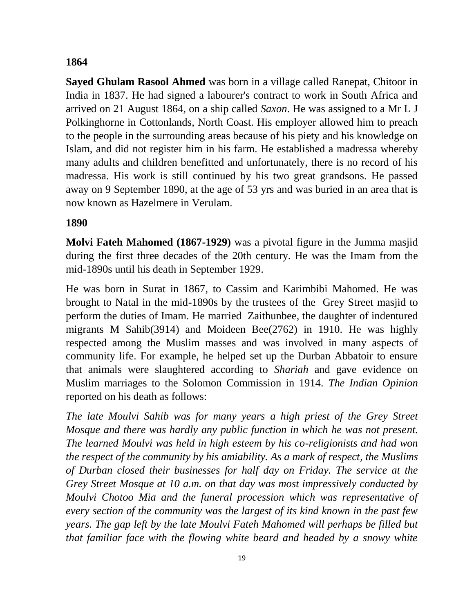#### **1864**

**Sayed Ghulam Rasool Ahmed** was born in a village called Ranepat, Chitoor in India in 1837. He had signed a labourer's contract to work in South Africa and arrived on 21 August 1864, on a ship called *Saxon*. He was assigned to a Mr L J Polkinghorne in Cottonlands, North Coast. His employer allowed him to preach to the people in the surrounding areas because of his piety and his knowledge on Islam, and did not register him in his farm. He established a madressa whereby many adults and children benefitted and unfortunately, there is no record of his madressa. His work is still continued by his two great grandsons. He passed away on 9 September 1890, at the age of 53 yrs and was buried in an area that is now known as Hazelmere in Verulam.

## **1890**

**Molvi Fateh Mahomed (1867-1929)** was a pivotal figure in the Jumma masjid during the first three decades of the 20th century. He was the Imam from the mid-1890s until his death in September 1929.

He was born in Surat in 1867, to Cassim and Karimbibi Mahomed. He was brought to Natal in the mid-1890s by the trustees of the Grey Street masjid to perform the duties of Imam. He married Zaithunbee, the daughter of indentured migrants M Sahib(3914) and Moideen Bee(2762) in 1910. He was highly respected among the Muslim masses and was involved in many aspects of community life. For example, he helped set up the Durban Abbatoir to ensure that animals were slaughtered according to *Shariah* and gave evidence on Muslim marriages to the Solomon Commission in 1914. *The Indian Opinion* reported on his death as follows:

*The late Moulvi Sahib was for many years a high priest of the Grey Street Mosque and there was hardly any public function in which he was not present. The learned Moulvi was held in high esteem by his co-religionists and had won the respect of the community by his amiability. As a mark of respect, the Muslims of Durban closed their businesses for half day on Friday. The service at the Grey Street Mosque at 10 a.m. on that day was most impressively conducted by Moulvi Chotoo Mia and the funeral procession which was representative of every section of the community was the largest of its kind known in the past few years. The gap left by the late Moulvi Fateh Mahomed will perhaps be filled but that familiar face with the flowing white beard and headed by a snowy white*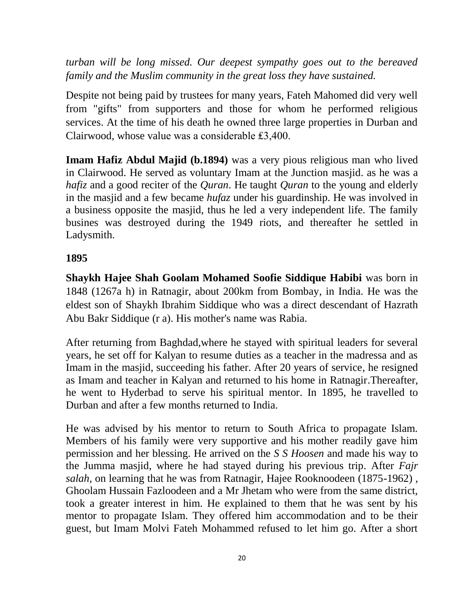*turban will be long missed. Our deepest sympathy goes out to the bereaved family and the Muslim community in the great loss they have sustained.*

Despite not being paid by trustees for many years, Fateh Mahomed did very well from "gifts" from supporters and those for whom he performed religious services. At the time of his death he owned three large properties in Durban and Clairwood, whose value was a considerable ₤3,400.

**Imam Hafiz Abdul Majid (b.1894)** was a very pious religious man who lived in Clairwood. He served as voluntary Imam at the Junction masjid. as he was a *hafiz* and a good reciter of the *Quran*. He taught *Quran* to the young and elderly in the masjid and a few became *hufaz* under his guardinship. He was involved in a business opposite the masjid, thus he led a very independent life. The family busines was destroyed during the 1949 riots, and thereafter he settled in Ladysmith.

### **1895**

**Shaykh Hajee Shah Goolam Mohamed Soofie Siddique Habibi** was born in 1848 (1267a h) in Ratnagir, about 200km from Bombay, in India. He was the eldest son of Shaykh Ibrahim Siddique who was a direct descendant of Hazrath Abu Bakr Siddique (r a). His mother's name was Rabia.

After returning from Baghdad,where he stayed with spiritual leaders for several years, he set off for Kalyan to resume duties as a teacher in the madressa and as Imam in the masjid, succeeding his father. After 20 years of service, he resigned as Imam and teacher in Kalyan and returned to his home in Ratnagir.Thereafter, he went to Hyderbad to serve his spiritual mentor. In 1895, he travelled to Durban and after a few months returned to India.

He was advised by his mentor to return to South Africa to propagate Islam. Members of his family were very supportive and his mother readily gave him permission and her blessing. He arrived on the *S S Hoosen* and made his way to the Jumma masjid, where he had stayed during his previous trip. After *Fajr salah*, on learning that he was from Ratnagir, Hajee Rooknoodeen (1875-1962) , Ghoolam Hussain Fazloodeen and a Mr Jhetam who were from the same district, took a greater interest in him. He explained to them that he was sent by his mentor to propagate Islam. They offered him accommodation and to be their guest, but Imam Molvi Fateh Mohammed refused to let him go. After a short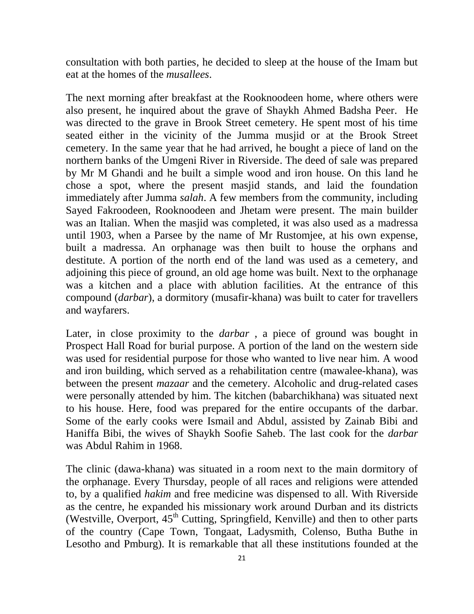consultation with both parties, he decided to sleep at the house of the Imam but eat at the homes of the *musallees*.

The next morning after breakfast at the Rooknoodeen home, where others were also present, he inquired about the grave of Shaykh Ahmed Badsha Peer. He was directed to the grave in Brook Street cemetery. He spent most of his time seated either in the vicinity of the Jumma musjid or at the Brook Street cemetery. In the same year that he had arrived, he bought a piece of land on the northern banks of the Umgeni River in Riverside. The deed of sale was prepared by Mr M Ghandi and he built a simple wood and iron house. On this land he chose a spot, where the present masjid stands, and laid the foundation immediately after Jumma *salah*. A few members from the community, including Sayed Fakroodeen, Rooknoodeen and Jhetam were present. The main builder was an Italian. When the masjid was completed, it was also used as a madressa until 1903, when a Parsee by the name of Mr Rustomjee, at his own expense, built a madressa. An orphanage was then built to house the orphans and destitute. A portion of the north end of the land was used as a cemetery, and adjoining this piece of ground, an old age home was built. Next to the orphanage was a kitchen and a place with ablution facilities. At the entrance of this compound (*darbar*), a dormitory (musafir-khana) was built to cater for travellers and wayfarers.

Later, in close proximity to the *darbar* , a piece of ground was bought in Prospect Hall Road for burial purpose. A portion of the land on the western side was used for residential purpose for those who wanted to live near him. A wood and iron building, which served as a rehabilitation centre (mawalee-khana), was between the present *mazaar* and the cemetery. Alcoholic and drug-related cases were personally attended by him. The kitchen (babarchikhana) was situated next to his house. Here, food was prepared for the entire occupants of the darbar. Some of the early cooks were Ismail and Abdul, assisted by Zainab Bibi and Haniffa Bibi, the wives of Shaykh Soofie Saheb. The last cook for the *darbar* was Abdul Rahim in 1968.

The clinic (dawa-khana) was situated in a room next to the main dormitory of the orphanage. Every Thursday, people of all races and religions were attended to, by a qualified *hakim* and free medicine was dispensed to all. With Riverside as the centre, he expanded his missionary work around Durban and its districts (Westville, Overport,  $45<sup>th</sup>$  Cutting, Springfield, Kenville) and then to other parts of the country (Cape Town, Tongaat, Ladysmith, Colenso, Butha Buthe in Lesotho and Pmburg). It is remarkable that all these institutions founded at the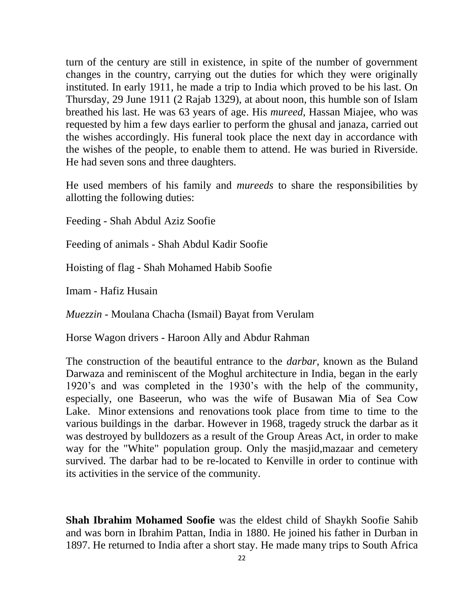turn of the century are still in existence, in spite of the number of government changes in the country, carrying out the duties for which they were originally instituted. In early 1911, he made a trip to India which proved to be his last. On Thursday, 29 June 1911 (2 Rajab 1329), at about noon, this humble son of Islam breathed his last. He was 63 years of age. His *mureed*, Hassan Miajee, who was requested by him a few days earlier to perform the ghusal and janaza, carried out the wishes accordingly. His funeral took place the next day in accordance with the wishes of the people, to enable them to attend. He was buried in Riverside. He had seven sons and three daughters.

He used members of his family and *mureeds* to share the responsibilities by allotting the following duties:

Feeding - Shah Abdul Aziz Soofie

Feeding of animals - Shah Abdul Kadir Soofie

Hoisting of flag - Shah Mohamed Habib Soofie

Imam - Hafiz Husain

*Muezzin* - Moulana Chacha (Ismail) Bayat from Verulam

Horse Wagon drivers - Haroon Ally and Abdur Rahman

The construction of the beautiful entrance to the *darbar*, known as the Buland Darwaza and reminiscent of the Moghul architecture in India, began in the early 1920's and was completed in the 1930's with the help of the community, especially, one Baseerun, who was the wife of Busawan Mia of Sea Cow Lake. Minor [extensions and renovations](http://www.soofie.com/reconstruction%20&%20dev%20final.html) took place from time to time to the various buildings in the darbar. However in 1968, tragedy struck the darbar as it was destroyed by bulldozers as a result of the [Group Areas Act,](http://www.soofie.com/Group%20Areas%20Final.html) in order to make way for the "White" population group. Only the masjid,mazaar and cemetery survived. The darbar had to be re-located to Kenville in order to continue with its activities in the service of the community.

**Shah Ibrahim Mohamed Soofie** was the eldest child of Shaykh Soofie Sahib and was born in Ibrahim Pattan, India in 1880. He joined his father in Durban in 1897. He returned to India after a short stay. He made many trips to South Africa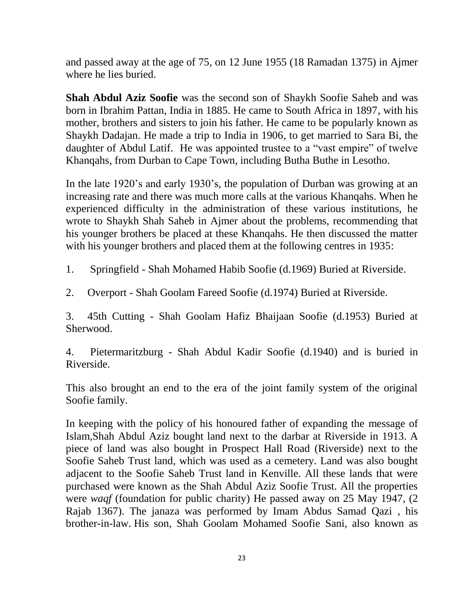and passed away at the age of 75, on 12 June 1955 (18 Ramadan 1375) in Ajmer where he lies buried.

**Shah Abdul Aziz Soofie** was the second son of Shaykh Soofie Saheb and was born in Ibrahim Pattan, India in 1885. He came to South Africa in 1897, with his mother, brothers and sisters to join his father. He came to be popularly known as Shaykh Dadajan. He made a trip to India in 1906, to get married to Sara Bi, the daughter of Abdul Latif. He was appointed trustee to a "vast empire" of twelve Khanqahs, from Durban to Cape Town, including Butha Buthe in Lesotho.

In the late 1920's and early 1930's, the population of Durban was growing at an increasing rate and there was much more calls at the various Khanqahs. When he experienced difficulty in the administration of these various institutions, he wrote to Shaykh Shah Saheb in Ajmer about the problems, recommending that his younger brothers be placed at these Khanqahs. He then discussed the matter with his younger brothers and placed them at the following centres in 1935:

1. Springfield - Shah Mohamed Habib Soofie (d.1969) Buried at Riverside.

2. Overport - Shah Goolam Fareed Soofie (d.1974) Buried at Riverside.

3. 45th Cutting - Shah Goolam Hafiz Bhaijaan Soofie (d.1953) Buried at Sherwood.

4. Pietermaritzburg - Shah Abdul Kadir Soofie (d.1940) and is buried in Riverside.

This also brought an end to the era of the joint family system of the original Soofie family.

In keeping with the policy of his honoured father of expanding the message of Islam,Shah Abdul Aziz bought land next to the darbar at Riverside in 1913. A piece of land was also bought in Prospect Hall Road (Riverside) next to the Soofie Saheb Trust land, which was used as a cemetery. Land was also bought adjacent to the Soofie Saheb Trust land in Kenville. All these lands that were purchased were known as the Shah Abdul Aziz Soofie Trust. All the properties were *waqf* (foundation for public charity) He passed away on 25 May 1947, (2 Rajab 1367). The janaza was performed by Imam Abdus Samad Qazi , his brother-in-law. His son, Shah Goolam Mohamed Soofie Sani, also known as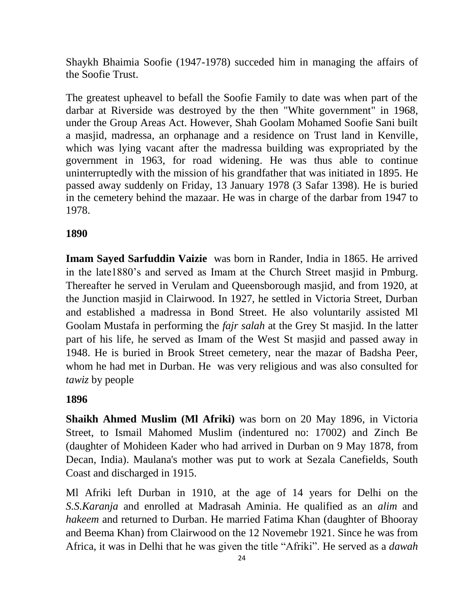Shaykh Bhaimia Soofie (1947-1978) succeded him in managing the affairs of the Soofie Trust.

The greatest upheavel to befall the Soofie Family to date was when part of the darbar at Riverside was destroyed by the then "White government" in 1968, under the Group Areas Act. However, Shah Goolam Mohamed Soofie Sani built a masjid, madressa, an orphanage and a residence on Trust land in Kenville, which was lying vacant after the madressa building was expropriated by the government in 1963, for road widening. He was thus able to continue uninterruptedly with the mission of his grandfather that was initiated in 1895. He passed away suddenly on Friday, 13 January 1978 (3 Safar 1398). He is buried in the cemetery behind the mazaar. He was in charge of the darbar from 1947 to 1978.

# **1890**

**Imam Sayed Sarfuddin Vaizie** was born in Rander, India in 1865. He arrived in the late1880's and served as Imam at the Church Street masjid in Pmburg. Thereafter he served in Verulam and Queensborough masjid, and from 1920, at the Junction masjid in Clairwood. In 1927, he settled in Victoria Street, Durban and established a madressa in Bond Street. He also voluntarily assisted Ml Goolam Mustafa in performing the *fajr salah* at the Grey St masjid. In the latter part of his life, he served as Imam of the West St masjid and passed away in 1948. He is buried in Brook Street cemetery, near the mazar of Badsha Peer, whom he had met in Durban. He was very religious and was also consulted for *tawiz* by people

## **1896**

**Shaikh Ahmed Muslim (Ml Afriki)** was born on 20 May 1896, in Victoria Street, to Ismail Mahomed Muslim (indentured no: 17002) and Zinch Be (daughter of Mohideen Kader who had arrived in Durban on 9 May 1878, from Decan, India). Maulana's mother was put to work at Sezala Canefields, South Coast and discharged in 1915.

Ml Afriki left Durban in 1910, at the age of 14 years for Delhi on the *S.S.Karanja* and enrolled at Madrasah Aminia. He qualified as an *alim* and *hakeem* and returned to Durban. He married Fatima Khan (daughter of Bhooray and Beema Khan) from Clairwood on the 12 Novemebr 1921. Since he was from Africa, it was in Delhi that he was given the title "Afriki". He served as a *dawah*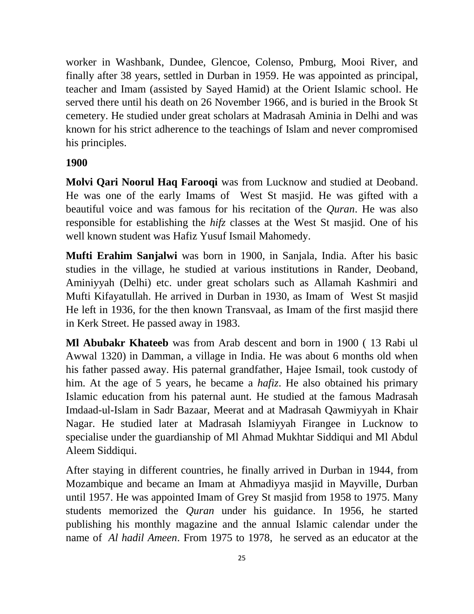worker in Washbank, Dundee, Glencoe, Colenso, Pmburg, Mooi River, and finally after 38 years, settled in Durban in 1959. He was appointed as principal, teacher and Imam (assisted by Sayed Hamid) at the Orient Islamic school. He served there until his death on 26 November 1966, and is buried in the Brook St cemetery. He studied under great scholars at Madrasah Aminia in Delhi and was known for his strict adherence to the teachings of Islam and never compromised his principles.

### **1900**

**Molvi Qari Noorul Haq Farooqi** was from Lucknow and studied at Deoband. He was one of the early Imams of West St masjid. He was gifted with a beautiful voice and was famous for his recitation of the *Quran*. He was also responsible for establishing the *hifz* classes at the West St masjid. One of his well known student was Hafiz Yusuf Ismail Mahomedy.

**Mufti Erahim Sanjalwi** was born in 1900, in Sanjala, India. After his basic studies in the village, he studied at various institutions in Rander, Deoband, Aminiyyah (Delhi) etc. under great scholars such as Allamah Kashmiri and Mufti Kifayatullah. He arrived in Durban in 1930, as Imam of West St masjid He left in 1936, for the then known Transvaal, as Imam of the first masjid there in Kerk Street. He passed away in 1983.

**Ml Abubakr Khateeb** was from Arab descent and born in 1900 ( 13 Rabi ul Awwal 1320) in Damman, a village in India. He was about 6 months old when his father passed away. His paternal grandfather, Hajee Ismail, took custody of him. At the age of 5 years, he became a *hafiz*. He also obtained his primary Islamic education from his paternal aunt. He studied at the famous Madrasah Imdaad-ul-Islam in Sadr Bazaar, Meerat and at Madrasah Qawmiyyah in Khair Nagar. He studied later at Madrasah Islamiyyah Firangee in Lucknow to specialise under the guardianship of Ml Ahmad Mukhtar Siddiqui and Ml Abdul Aleem Siddiqui.

After staying in different countries, he finally arrived in Durban in 1944, from Mozambique and became an Imam at Ahmadiyya masjid in Mayville, Durban until 1957. He was appointed Imam of Grey St masjid from 1958 to 1975. Many students memorized the *Quran* under his guidance. In 1956, he started publishing his monthly magazine and the annual Islamic calendar under the name of *Al hadil Ameen*. From 1975 to 1978, he served as an educator at the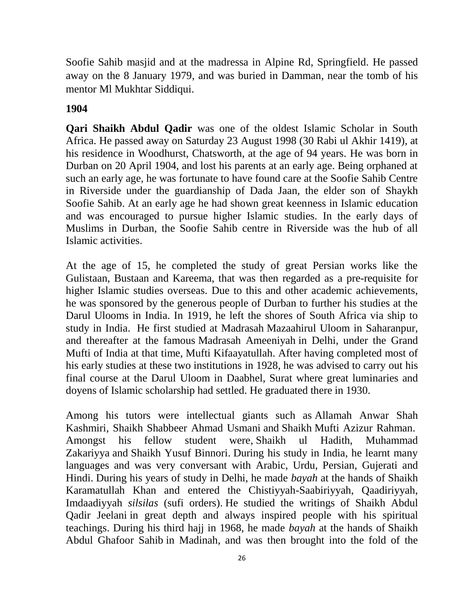Soofie Sahib masjid and at the madressa in Alpine Rd, Springfield. He passed away on the 8 January 1979, and was buried in Damman, near the tomb of his mentor Ml Mukhtar Siddiqui.

### **1904**

**Qari Shaikh Abdul Qadir** was one of the oldest Islamic Scholar in South Africa. He passed away on Saturday 23 August 1998 (30 Rabi ul Akhir 1419), at his residence in Woodhurst, Chatsworth, at the age of 94 years. He was born in Durban on 20 April 1904, and lost his parents at an early age. Being orphaned at such an early age, he was fortunate to have found care at the Soofie Sahib Centre in Riverside under the guardianship of Dada Jaan, the elder son of Shaykh Soofie Sahib. At an early age he had shown great keenness in Islamic education and was encouraged to pursue higher Islamic studies. In the early days of Muslims in Durban, the Soofie Sahib centre in Riverside was the hub of all Islamic activities.

At the age of 15, he completed the study of great Persian works like the Gulistaan, Bustaan and Kareema, that was then regarded as a pre-requisite for higher Islamic studies overseas. Due to this and other academic achievements, he was sponsored by the generous people of Durban to further his studies at the Darul Ulooms in India. In 1919, he left the shores of South Africa via ship to study in India. He first studied at Madrasah Mazaahirul Uloom in Saharanpur, and thereafter at the famous Madrasah Ameeniyah in Delhi, under the Grand Mufti of India at that time, Mufti Kifaayatullah. After having completed most of his early studies at these two institutions in 1928, he was advised to carry out his final course at the Darul Uloom in Daabhel, Surat where great luminaries and doyens of Islamic scholarship had settled. He graduated there in 1930.

Among his tutors were intellectual giants such as Allamah Anwar Shah Kashmiri, Shaikh Shabbeer Ahmad Usmani and Shaikh Mufti Azizur Rahman. Amongst his fellow student were, Shaikh ul Hadith, Muhammad Zakariyya and Shaikh Yusuf Binnori. During his study in India, he learnt many languages and was very conversant with Arabic, Urdu, Persian, Gujerati and Hindi. During his years of study in Delhi, he made *bayah* at the hands of Shaikh Karamatullah Khan and entered the Chistiyyah-Saabiriyyah, Qaadiriyyah, Imdaadiyyah *silsilas* (sufi orders). He studied the writings of Shaikh Abdul Qadir Jeelani in great depth and always inspired people with his spiritual teachings. During his third hajj in 1968, he made *bayah* at the hands of Shaikh Abdul Ghafoor Sahib in Madinah, and was then brought into the fold of the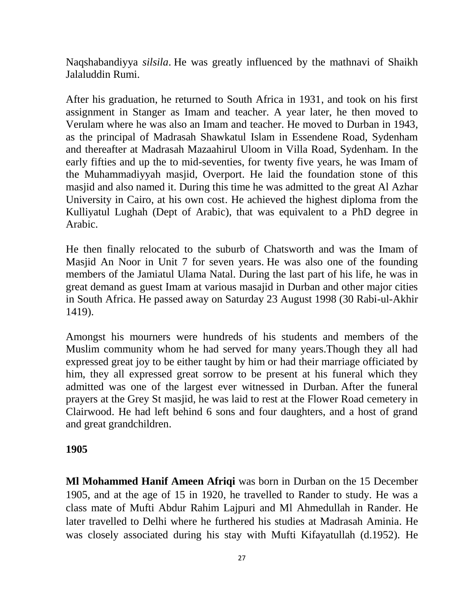Naqshabandiyya *silsila*. He was greatly influenced by the mathnavi of Shaikh Jalaluddin Rumi.

After his graduation, he returned to South Africa in 1931, and took on his first assignment in Stanger as Imam and teacher. A year later, he then moved to Verulam where he was also an Imam and teacher. He moved to Durban in 1943, as the principal of Madrasah Shawkatul Islam in Essendene Road, Sydenham and thereafter at Madrasah Mazaahirul Uloom in Villa Road, Sydenham. In the early fifties and up the to mid-seventies, for twenty five years, he was Imam of the Muhammadiyyah masjid, Overport. He laid the foundation stone of this masjid and also named it. During this time he was admitted to the great Al Azhar University in Cairo, at his own cost. He achieved the highest diploma from the Kulliyatul Lughah (Dept of Arabic), that was equivalent to a PhD degree in Arabic.

He then finally relocated to the suburb of Chatsworth and was the Imam of Masjid An Noor in Unit 7 for seven years. He was also one of the founding members of the Jamiatul Ulama Natal. During the last part of his life, he was in great demand as guest Imam at various masajid in Durban and other major cities in South Africa. He passed away on Saturday 23 August 1998 (30 Rabi-ul-Akhir 1419).

Amongst his mourners were hundreds of his students and members of the Muslim community whom he had served for many years.Though they all had expressed great joy to be either taught by him or had their marriage officiated by him, they all expressed great sorrow to be present at his funeral which they admitted was one of the largest ever witnessed in Durban. After the funeral prayers at the Grey St masjid, he was laid to rest at the Flower Road cemetery in Clairwood. He had left behind 6 sons and four daughters, and a host of grand and great grandchildren.

#### **1905**

**Ml Mohammed Hanif Ameen Afriqi** was born in Durban on the 15 December 1905, and at the age of 15 in 1920, he travelled to Rander to study. He was a class mate of Mufti Abdur Rahim Lajpuri and Ml Ahmedullah in Rander. He later travelled to Delhi where he furthered his studies at Madrasah Aminia. He was closely associated during his stay with Mufti Kifayatullah (d.1952). He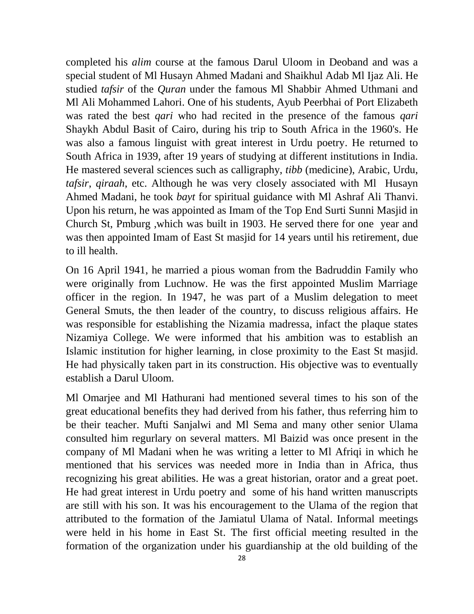completed his *alim* course at the famous Darul Uloom in Deoband and was a special student of Ml Husayn Ahmed Madani and Shaikhul Adab Ml Ijaz Ali. He studied *tafsir* of the *Quran* under the famous Ml Shabbir Ahmed Uthmani and Ml Ali Mohammed Lahori. One of his students, Ayub Peerbhai of Port Elizabeth was rated the best *qari* who had recited in the presence of the famous *qari* Shaykh Abdul Basit of Cairo, during his trip to South Africa in the 1960's. He was also a famous linguist with great interest in Urdu poetry. He returned to South Africa in 1939, after 19 years of studying at different institutions in India. He mastered several sciences such as calligraphy, *tibb* (medicine), Arabic, Urdu, *tafsir*, *qiraah*, etc. Although he was very closely associated with Ml Husayn Ahmed Madani, he took *bayt* for spiritual guidance with Ml Ashraf Ali Thanvi. Upon his return, he was appointed as Imam of the Top End Surti Sunni Masjid in Church St, Pmburg ,which was built in 1903. He served there for one year and was then appointed Imam of East St masjid for 14 years until his retirement, due to ill health.

On 16 April 1941, he married a pious woman from the Badruddin Family who were originally from Luchnow. He was the first appointed Muslim Marriage officer in the region. In 1947, he was part of a Muslim delegation to meet General Smuts, the then leader of the country, to discuss religious affairs. He was responsible for establishing the Nizamia madressa, infact the plaque states Nizamiya College. We were informed that his ambition was to establish an Islamic institution for higher learning, in close proximity to the East St masjid. He had physically taken part in its construction. His objective was to eventually establish a Darul Uloom.

Ml Omarjee and Ml Hathurani had mentioned several times to his son of the great educational benefits they had derived from his father, thus referring him to be their teacher. Mufti Sanjalwi and Ml Sema and many other senior Ulama consulted him regurlary on several matters. Ml Baizid was once present in the company of Ml Madani when he was writing a letter to Ml Afriqi in which he mentioned that his services was needed more in India than in Africa, thus recognizing his great abilities. He was a great historian, orator and a great poet. He had great interest in Urdu poetry and some of his hand written manuscripts are still with his son. It was his encouragement to the Ulama of the region that attributed to the formation of the Jamiatul Ulama of Natal. Informal meetings were held in his home in East St. The first official meeting resulted in the formation of the organization under his guardianship at the old building of the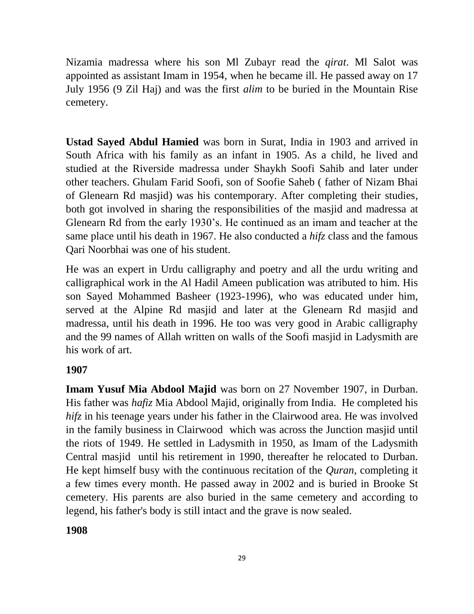Nizamia madressa where his son Ml Zubayr read the *qirat*. Ml Salot was appointed as assistant Imam in 1954, when he became ill. He passed away on 17 July 1956 (9 Zil Haj) and was the first *alim* to be buried in the Mountain Rise cemetery.

**Ustad Sayed Abdul Hamied** was born in Surat, India in 1903 and arrived in South Africa with his family as an infant in 1905. As a child, he lived and studied at the Riverside madressa under Shaykh Soofi Sahib and later under other teachers. Ghulam Farid Soofi, son of Soofie Saheb ( father of Nizam Bhai of Glenearn Rd masjid) was his contemporary. After completing their studies, both got involved in sharing the responsibilities of the masjid and madressa at Glenearn Rd from the early 1930's. He continued as an imam and teacher at the same place until his death in 1967. He also conducted a *hifz* class and the famous Qari Noorbhai was one of his student.

He was an expert in Urdu calligraphy and poetry and all the urdu writing and calligraphical work in the Al Hadil Ameen publication was atributed to him. His son Sayed Mohammed Basheer (1923-1996), who was educated under him, served at the Alpine Rd masjid and later at the Glenearn Rd masjid and madressa, until his death in 1996. He too was very good in Arabic calligraphy and the 99 names of Allah written on walls of the Soofi masjid in Ladysmith are his work of art.

## **1907**

**Imam Yusuf Mia Abdool Majid** was born on 27 November 1907, in Durban. His father was *hafiz* Mia Abdool Majid, originally from India. He completed his *hifz* in his teenage years under his father in the Clairwood area. He was involved in the family business in Clairwood which was across the Junction masjid until the riots of 1949. He settled in Ladysmith in 1950, as Imam of the Ladysmith Central masjid until his retirement in 1990, thereafter he relocated to Durban. He kept himself busy with the continuous recitation of the *Quran*, completing it a few times every month. He passed away in 2002 and is buried in Brooke St cemetery. His parents are also buried in the same cemetery and according to legend, his father's body is still intact and the grave is now sealed.

**1908**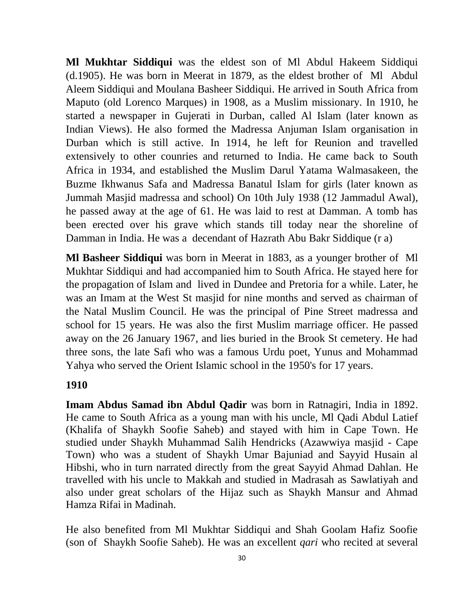**Ml Mukhtar Siddiqui** was the eldest son of Ml Abdul Hakeem Siddiqui (d.1905). He was born in Meerat in 1879, as the eldest brother of Ml Abdul Aleem Siddiqui and Moulana Basheer Siddiqui. He arrived in South Africa from Maputo (old Lorenco Marques) in 1908, as a Muslim missionary. In 1910, he started a newspaper in Gujerati in Durban, called Al Islam (later known as Indian Views). He also formed the Madressa Anjuman Islam organisation in Durban which is still active. In 1914, he left for Reunion and travelled extensively to other counries and returned to India. He came back to South Africa in 1934, and established the Muslim Darul Yatama Walmasakeen, the Buzme Ikhwanus Safa and Madressa Banatul Islam for girls (later known as Jummah Masjid madressa and school) On 10th July 1938 (12 Jammadul Awal), he passed away at the age of 61. He was laid to rest at Damman. A tomb has been erected over his grave which stands till today near the shoreline of Damman in India. He was a decendant of Hazrath Abu Bakr Siddique (r a)

**Ml Basheer Siddiqui** was born in Meerat in 1883, as a younger brother of Ml Mukhtar Siddiqui and had accompanied him to South Africa. He stayed here for the propagation of Islam and lived in Dundee and Pretoria for a while. Later, he was an Imam at the West St masjid for nine months and served as chairman of the Natal Muslim Council. He was the principal of Pine Street madressa and school for 15 years. He was also the first Muslim marriage officer. He passed away on the 26 January 1967, and lies buried in the Brook St cemetery. He had three sons, the late Safi who was a famous Urdu poet, Yunus and Mohammad Yahya who served the Orient Islamic school in the 1950's for 17 years.

#### **1910**

**Imam Abdus Samad ibn Abdul Qadir** was born in Ratnagiri, India in 1892. He came to South Africa as a young man with his uncle, Ml Qadi Abdul Latief (Khalifa of Shaykh Soofie Saheb) and stayed with him in Cape Town. He studied under Shaykh Muhammad Salih Hendricks (Azawwiya masjid - Cape Town) who was a student of Shaykh Umar Bajuniad and Sayyid Husain al Hibshi, who in turn narrated directly from the great Sayyid Ahmad Dahlan. He travelled with his uncle to Makkah and studied in Madrasah as Sawlatiyah and also under great scholars of the Hijaz such as Shaykh Mansur and Ahmad Hamza Rifai in Madinah.

He also benefited from Ml Mukhtar Siddiqui and Shah Goolam Hafiz Soofie (son of Shaykh Soofie Saheb). He was an excellent *qari* who recited at several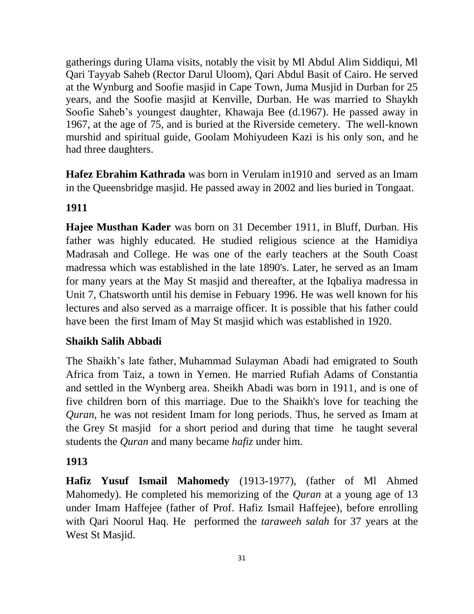gatherings during Ulama visits, notably the visit by Ml Abdul Alim Siddiqui, Ml Qari Tayyab Saheb (Rector Darul Uloom), Qari Abdul Basit of Cairo. He served at the Wynburg and Soofie masjid in Cape Town, Juma Musjid in Durban for 25 years, and the Soofie masjid at Kenville, Durban. He was married to Shaykh Soofie Saheb's youngest daughter, Khawaja Bee (d.1967). He passed away in 1967, at the age of 75, and is buried at the Riverside cemetery. The well-known murshid and spiritual guide, Goolam Mohiyudeen Kazi is his only son, and he had three daughters.

**Hafez Ebrahim Kathrada** was born in Verulam in1910 and served as an Imam in the Queensbridge masjid. He passed away in 2002 and lies buried in Tongaat.

# **1911**

**Hajee Musthan Kader** was born on 31 December 1911, in Bluff, Durban. His father was highly educated. He studied religious science at the Hamidiya Madrasah and College. He was one of the early teachers at the South Coast madressa which was established in the late 1890's. Later, he served as an Imam for many years at the May St masjid and thereafter, at the Iqbaliya madressa in Unit 7, Chatsworth until his demise in Febuary 1996. He was well known for his lectures and also served as a marraige officer. It is possible that his father could have been the first Imam of May St masjid which was established in 1920.

## **Shaikh Salih Abbadi**

The Shaikh's late father, Muhammad Sulayman Abadi had emigrated to South Africa from Taiz, a town in Yemen. He married Rufiah Adams of Constantia and settled in the Wynberg area. Sheikh Abadi was born in 1911, and is one of five children born of this marriage. Due to the Shaikh's love for teaching the *Quran*, he was not resident Imam for long periods. Thus, he served as Imam at the Grey St masjid for a short period and during that time he taught several students the *Quran* and many became *hafiz* under him.

## **1913**

**Hafiz Yusuf Ismail Mahomedy** (1913-1977), (father of Ml Ahmed Mahomedy). He completed his memorizing of the *Quran* at a young age of 13 under Imam Haffejee (father of Prof. Hafiz Ismail Haffejee), before enrolling with Qari Noorul Haq. He performed the *taraweeh salah* for 37 years at the West St Masjid.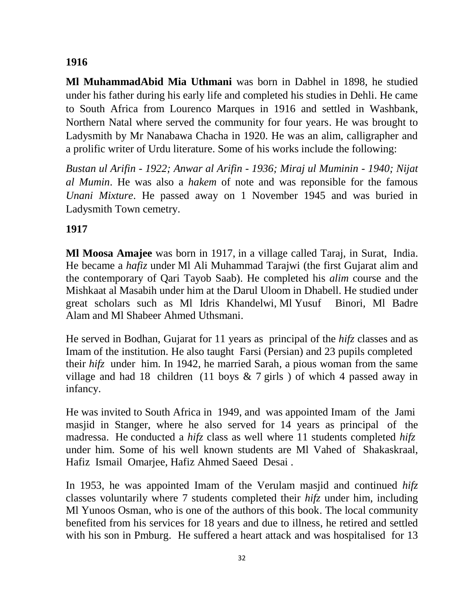## **1916**

**Ml MuhammadAbid Mia Uthmani** was born in Dabhel in 1898, he studied under his father during his early life and completed his studies in Dehli. He came to South Africa from Lourenco Marques in 1916 and settled in Washbank, Northern Natal where served the community for four years. He was brought to Ladysmith by Mr Nanabawa Chacha in 1920. He was an alim, calligrapher and a prolific writer of Urdu literature. Some of his works include the following:

*Bustan ul Arifin - 1922; Anwar al Arifin - 1936; Miraj ul Muminin - 1940; Nijat al Mumin*. He was also a *hakem* of note and was reponsible for the famous *Unani Mixture*. He passed away on 1 November 1945 and was buried in Ladysmith Town cemetry.

## **1917**

**Ml Moosa Amajee** was born in 1917, in a village called Taraj, in Surat, India. He became a *hafiz* under Ml Ali Muhammad Tarajwi (the first Gujarat alim and the contemporary of Qari Tayob Saab). He completed his *alim* course and the Mishkaat al Masabih under him at the Darul Uloom in Dhabell. He studied under great scholars such as Ml Idris Khandelwi, Ml Yusuf Binori, Ml Badre Alam and Ml Shabeer Ahmed Uthsmani.

He served in Bodhan, Gujarat for 11 years as principal of the *hifz* classes and as Imam of the institution. He also taught Farsi (Persian) and 23 pupils completed their *hifz* under him. In 1942, he married Sarah, a pious woman from the same village and had 18 children (11 boys  $\&$  7 girls ) of which 4 passed away in infancy.

He was invited to South Africa in 1949, and was appointed Imam of the Jami masjid in Stanger, where he also served for 14 years as principal of the madressa. He conducted a *hifz* class as well where 11 students completed *hifz* under him. Some of his well known students are Ml Vahed of Shakaskraal, Hafiz Ismail Omarjee, Hafiz Ahmed Saeed Desai .

In 1953, he was appointed Imam of the Verulam masjid and continued *hifz* classes voluntarily where 7 students completed their *hifz* under him, including Ml Yunoos Osman, who is one of the authors of this book. The local community benefited from his services for 18 years and due to illness, he retired and settled with his son in Pmburg. He suffered a heart attack and was hospitalised for 13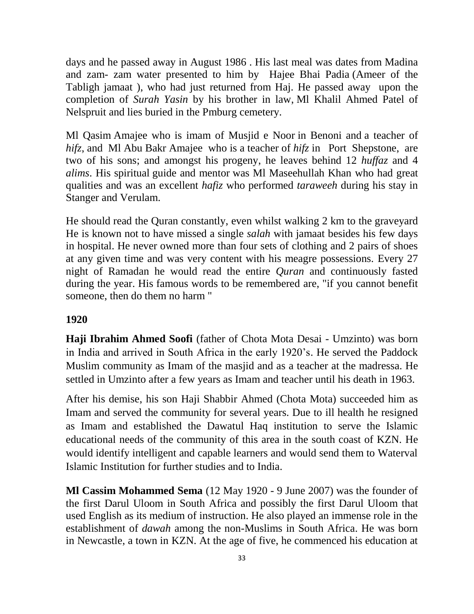days and he passed away in August 1986 . His last meal was dates from Madina and zam- zam water presented to him by Hajee Bhai Padia (Ameer of the Tabligh jamaat ), who had just returned from Haj. He passed away upon the completion of *Surah Yasin* by his brother in law, Ml Khalil Ahmed Patel of Nelspruit and lies buried in the Pmburg cemetery.

Ml Qasim Amajee who is imam of Musjid e Noor in Benoni and a teacher of *hifz*, and Ml Abu Bakr Amajee who is a teacher of *hifz* in Port Shepstone, are two of his sons; and amongst his progeny, he leaves behind 12 *huffaz* and 4 *alims*. His spiritual guide and mentor was Ml Maseehullah Khan who had great qualities and was an excellent *hafiz* who performed *taraweeh* during his stay in Stanger and Verulam.

He should read the Quran constantly, even whilst walking 2 km to the graveyard He is known not to have missed a single *salah* with jamaat besides his few days in hospital. He never owned more than four sets of clothing and 2 pairs of shoes at any given time and was very content with his meagre possessions. Every 27 night of Ramadan he would read the entire *Quran* and continuously fasted during the year. His famous words to be remembered are, "if you cannot benefit someone, then do them no harm "

### **1920**

**Haji Ibrahim Ahmed Soofi** (father of Chota Mota Desai - Umzinto) was born in India and arrived in South Africa in the early 1920's. He served the Paddock Muslim community as Imam of the masjid and as a teacher at the madressa. He settled in Umzinto after a few years as Imam and teacher until his death in 1963.

After his demise, his son Haji Shabbir Ahmed (Chota Mota) succeeded him as Imam and served the community for several years. Due to ill health he resigned as Imam and established the Dawatul Haq institution to serve the Islamic educational needs of the community of this area in the south coast of KZN. He would identify intelligent and capable learners and would send them to Waterval Islamic Institution for further studies and to India.

**Ml Cassim Mohammed Sema** (12 May 1920 - 9 June 2007) was the founder of the first Darul Uloom in South [Africa](http://en.wikipedia.org/wiki/South_Africa) and possibly the first Darul Uloom that used [English](http://en.wikipedia.org/wiki/English_language) as its medium of instruction. He also played an immense role in the establishment of *[dawah](http://en.wikipedia.org/wiki/Da%27wah)* among the non-Muslims in [South Africa.](http://en.wikipedia.org/wiki/South_Africa) He was born in [Newcastle,](http://en.wikipedia.org/wiki/Newcastle,_KwaZulu-Natal) a town in [KZN.](http://en.wikipedia.org/wiki/KwaZulu-Natal) At the age of five, he commenced his education at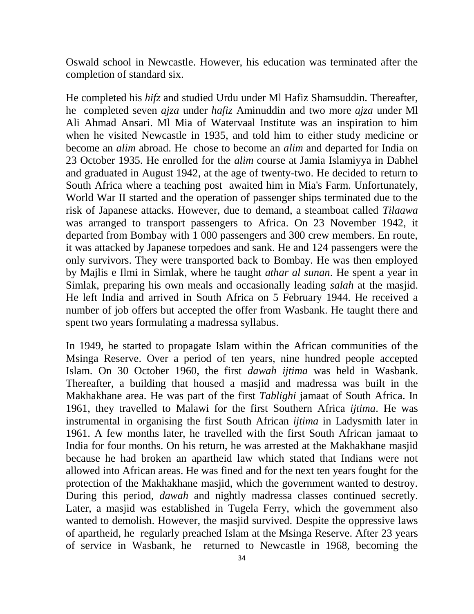[Oswald school](http://en.wikipedia.org/w/index.php?title=Oswald%27s_School&action=edit&redlink=1) in Newcastle. However, his education was terminated after the completion of standard six.

He completed his *hifz* and studied [Urdu](http://en.wikipedia.org/wiki/Urdu) under Ml Hafiz Shamsuddin. Thereafter, he completed seven *[ajza](http://en.wikipedia.org/wiki/Juz)* under *hafiz* Aminuddin and two more *[ajza](http://en.wikipedia.org/wiki/Juz)* under Ml [Ali Ahmad Ansari.](http://en.wikipedia.org/w/index.php?title=Ali_Ahmad_Ansari&action=edit&redlink=1) Ml Mia of [Watervaal Institute](http://en.wikipedia.org/w/index.php?title=Watervaal_Institute&action=edit&redlink=1) was an inspiration to him when he visited [Newcastle](http://en.wikipedia.org/wiki/Newcastle,_KwaZulu-Natal) in 1935, and told him to either study medicine or become an *[alim](http://en.wikipedia.org/w/index.php?title=%27Alim&action=edit&redlink=1)* abroad. He chose to become an *[alim](http://en.wikipedia.org/w/index.php?title=%27Alim&action=edit&redlink=1)* and departed for [India](http://en.wikipedia.org/wiki/India) on 23 October 1935. He enrolled for the *alim* course at [Jamia Islamiyya](http://en.wikipedia.org/w/index.php?title=Jami%27a_Islamiyya&action=edit&redlink=1) in [Dabhel](http://en.wikipedia.org/wiki/Dabhel) and graduated in August 1942, at the age of twenty-two. He decided to return to [South Africa](http://en.wikipedia.org/wiki/South_Africa) where a teaching post awaited him in [Mia's Farm.](http://en.wikipedia.org/w/index.php?title=Mia%27s_Farm&action=edit&redlink=1) Unfortunately, [World War II](http://en.wikipedia.org/wiki/World_War_II) started and the operation of passenger ships terminated due to the risk of [Japanese](http://en.wikipedia.org/wiki/Japan) attacks. However, due to demand, a steamboat called *Tilaawa* was arranged to transport passengers to [Africa.](http://en.wikipedia.org/wiki/Africa) On 23 November 1942, it departed from [Bombay](http://en.wikipedia.org/wiki/Bombay) with 1 000 passengers and 300 crew members. En route, it was attacked by Japanese torpedoes and sank. He and 124 passengers were the only survivors. They were transported back to [Bombay.](http://en.wikipedia.org/wiki/Bombay) He was then employed by [Majlis](http://en.wikipedia.org/w/index.php?title=Majlis-e-%27Ilmi&action=edit&redlink=1) e Ilmi in [Simlak,](http://en.wikipedia.org/wiki/Simlak) where he taught *[athar al](http://en.wikipedia.org/w/index.php?title=Athar_al-Sunan&action=edit&redlink=1) sunan*. He spent a year in [Simlak,](http://en.wikipedia.org/wiki/Simlak) preparing his own meals and occasionally leading *[salah](http://en.wikipedia.org/wiki/Salaah)* at the [masjid.](http://en.wikipedia.org/wiki/Masjid) He left [India](http://en.wikipedia.org/wiki/India) and arrived in [South Africa](http://en.wikipedia.org/wiki/South_Africa) on 5 February 1944. He received a number of job offers but accepted the offer from [Wasbank.](http://en.wikipedia.org/wiki/Wasbank) He taught there and spent two years formulating a [madressa](http://en.wikipedia.org/wiki/Madrasa) syllabus.

In 1949, he started to propagate [Islam](http://en.wikipedia.org/wiki/Islam) within the [African](http://en.wikipedia.org/wiki/African) communities of the [Msinga Reserve.](http://en.wikipedia.org/w/index.php?title=Msinga_Reserve&action=edit&redlink=1) Over a period of ten years, nine hundred people accepted Islam. On 30 October 1960, the first *[dawah](http://en.wikipedia.org/wiki/Da%27wah) ijtima* was held in [Wasbank.](http://en.wikipedia.org/wiki/Wasbank) Thereafter, a building that housed a [masjid](http://en.wikipedia.org/wiki/Masjid) and [madressa](http://en.wikipedia.org/wiki/Madrasa) was built in the [Makhakhane](http://en.wikipedia.org/w/index.php?title=Makhakhane&action=edit&redlink=1) area. He was part of the first *Tablighi* jamaat of [South Africa.](http://en.wikipedia.org/wiki/South_Africa) In 1961, they travelled to [Malawi](http://en.wikipedia.org/wiki/Malawi) for the first Southern [Africa](http://en.wikipedia.org/wiki/Africa) *ijtima*. He was instrumental in organising the first [South African](http://en.wikipedia.org/wiki/South_African) *ijtima* in [Ladysmith](http://en.wikipedia.org/wiki/Ladysmith,_KwaZulu-Natal) later in 1961. A few months later, he travelled with the first South African [jamaat](http://en.wikipedia.org/wiki/Jama%27ah) to [India](http://en.wikipedia.org/wiki/India) for four months. On his return, he was arrested at the [Makhakhane masjid](http://en.wikipedia.org/w/index.php?title=Makhakhane_Masjid&action=edit&redlink=1) because he had broken an [apartheid](http://en.wikipedia.org/wiki/Apartheid) law which stated that Indians were not allowed into African areas. He was fined and for the next ten years fought for the protection of the [Makhakhane masjid,](http://en.wikipedia.org/w/index.php?title=Makhakhane_Masjid&action=edit&redlink=1) which the government wanted to destroy. During this period, *[dawah](http://en.wikipedia.org/wiki/Da%27wah)* and nightly [madressa](http://en.wikipedia.org/wiki/Madrasa) classes continued secretly. Later, a [masjid](http://en.wikipedia.org/wiki/Masjid) was established in [Tugela Ferry,](http://en.wikipedia.org/wiki/Tugela_Ferry) which the government also wanted to demolish. However, the masjid survived. Despite the oppressive laws of [apartheid,](http://en.wikipedia.org/wiki/Apartheid) he regularly preached [Islam](http://en.wikipedia.org/wiki/Islam) at the [Msinga Reserve.](http://en.wikipedia.org/w/index.php?title=Msinga_Reserve&action=edit&redlink=1) After 23 years of service in [Wasbank,](http://en.wikipedia.org/wiki/Wasbank) he returned to Newcastle in 1968, becoming the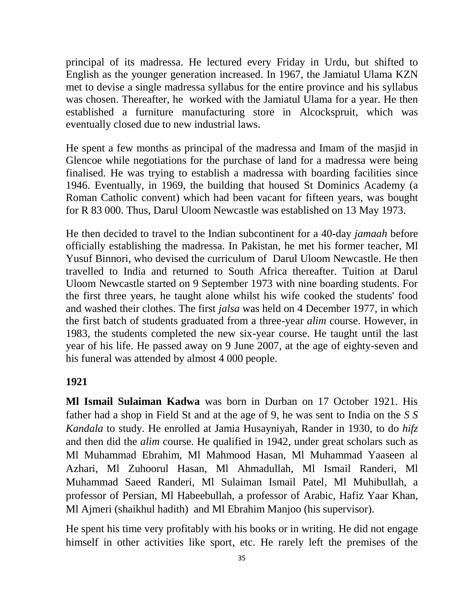principal of its madressa. He lectured every Friday in [Urdu,](http://en.wikipedia.org/wiki/Urdu) but shifted to [English](http://en.wikipedia.org/wiki/English_language) as the younger generation increased. In 1967, the [Jamiatul Ulama KZN](http://en.wikipedia.org/w/index.php?title=Jamiatul_Ulama_Kwazulu_Natal&action=edit&redlink=1) met to devise a single madressa syllabus for the entire province and his syllabus was chosen. Thereafter, he worked with the [Jamiatul Ulama f](http://en.wikipedia.org/w/index.php?title=Jamiatul_Ulama_KwaZulu-Natal&action=edit&redlink=1)or a year. He then established a furniture manufacturing store in [Alcockspruit,](http://en.wikipedia.org/w/index.php?title=Alcockspruit&action=edit&redlink=1) which was eventually closed due to new industrial laws.

He spent a few months as principal of the [madressa](http://en.wikipedia.org/wiki/Madrasa) and [Imam](http://en.wikipedia.org/wiki/Imam) of the [masjid](http://en.wikipedia.org/wiki/Masjid) in [Glencoe](http://en.wikipedia.org/wiki/Glencoe,_KwaZulu-Natal) while negotiations for the purchase of land for a madressa were being finalised. He was trying to establish a madressa with boarding facilities since 1946. Eventually, in 1969, the building that housed [St Dominics Academy](http://en.wikipedia.org/w/index.php?title=St._Dominics_Academy&action=edit&redlink=1) (a [Roman Catholic](http://en.wikipedia.org/wiki/Roman_Catholic) convent) which had been vacant for fifteen years, was bought for R 83 000. Thus, [Darul Uloom Newcastle](http://en.wikipedia.org/w/index.php?title=Darul_Uloom_Newcastle&action=edit&redlink=1) was established on 13 May 1973.

He then decided to travel to the [Indian subcontinent](http://en.wikipedia.org/wiki/Indian_subcontinent) for a 40-day *[jamaah](http://en.wikipedia.org/wiki/Jama%27ah)* before officially establishing the [madressa.](http://en.wikipedia.org/wiki/Madrasa) In [Pakistan,](http://en.wikipedia.org/wiki/Pakistan) he met his former teacher, Ml [Yusuf Binnori,](http://en.wikipedia.org/w/index.php?title=Yusuf_Binnori&action=edit&redlink=1) who devised the curriculum of [Darul Uloom Newcastle.](http://en.wikipedia.org/w/index.php?title=Darul_Uloom_Newcastle&action=edit&redlink=1) He then travelled to [India](http://en.wikipedia.org/wiki/India) and returned to [South Africa](http://en.wikipedia.org/wiki/South_Africa) thereafter. Tuition at [Darul](http://en.wikipedia.org/w/index.php?title=Darul_Uloom_Newcastle&action=edit&redlink=1)  [Uloom Newcastle](http://en.wikipedia.org/w/index.php?title=Darul_Uloom_Newcastle&action=edit&redlink=1) started on 9 September 1973 with nine boarding students. For the first three years, he taught alone whilst his wife cooked the students' food and washed their clothes. The first *jalsa* was held on 4 December 1977, in which the first batch of students graduated from a three-year *alim* course. However, in 1983, the students completed the new six-year course. He taught until the last year of his life. He passed away on 9 June 2007, at the age of eighty-seven and his funeral was attended by almost 4 000 people.

#### **1921**

**Ml Ismail Sulaiman Kadwa** was born in Durban on 17 October 1921. His father had a shop in Field St and at the age of 9, he was sent to India on the *S S Kandala* to study. He enrolled at Jamia Husayniyah, Rander in 1930, to do *hifz* and then did the *alim* course. He qualified in 1942, under great scholars such as Ml Muhammad Ebrahim, Ml Mahmood Hasan, Ml Muhammad Yaaseen al Azhari, Ml Zuhoorul Hasan, Ml Ahmadullah, Ml Ismail Randeri, Ml Muhammad Saeed Randeri, Ml Sulaiman Ismail Patel, Ml Muhibullah, a professor of Persian, Ml Habeebullah, a professor of Arabic, Hafiz Yaar Khan, Ml Ajmeri (shaikhul hadith) and Ml Ebrahim Manjoo (his supervisor).

He spent his time very profitably with his books or in writing. He did not engage himself in other activities like sport, etc. He rarely left the premises of the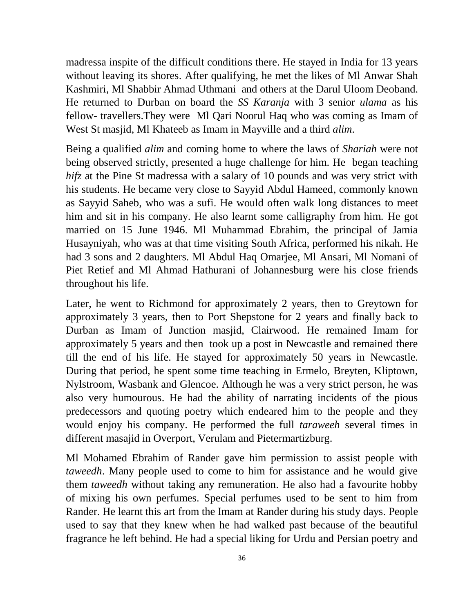madressa inspite of the difficult conditions there. He stayed in India for 13 years without leaving its shores. After qualifying, he met the likes of Ml Anwar Shah Kashmiri, Ml Shabbir Ahmad Uthmani and others at the Darul Uloom Deoband. He returned to Durban on board the *SS Karanja* with 3 senior *ulama* as his fellow- travellers.They were Ml Qari Noorul Haq who was coming as Imam of West St masjid, Ml Khateeb as Imam in Mayville and a third *alim*.

Being a qualified *alim* and coming home to where the laws of *Shariah* were not being observed strictly, presented a huge challenge for him. He began teaching *hifz* at the Pine St madressa with a salary of 10 pounds and was very strict with his students. He became very close to Sayyid Abdul Hameed, commonly known as Sayyid Saheb, who was a sufi. He would often walk long distances to meet him and sit in his company. He also learnt some calligraphy from him. He got married on 15 June 1946. Ml Muhammad Ebrahim, the principal of Jamia Husayniyah, who was at that time visiting South Africa, performed his nikah. He had 3 sons and 2 daughters. Ml Abdul Haq Omarjee, Ml Ansari, Ml Nomani of Piet Retief and Ml Ahmad Hathurani of Johannesburg were his close friends throughout his life.

Later, he went to Richmond for approximately 2 years, then to Greytown for approximately 3 years, then to Port Shepstone for 2 years and finally back to Durban as Imam of Junction masjid, Clairwood. He remained Imam for approximately 5 years and then took up a post in Newcastle and remained there till the end of his life. He stayed for approximately 50 years in Newcastle. During that period, he spent some time teaching in Ermelo, Breyten, Kliptown, Nylstroom, Wasbank and Glencoe. Although he was a very strict person, he was also very humourous. He had the ability of narrating incidents of the pious predecessors and quoting poetry which endeared him to the people and they would enjoy his company. He performed the full *taraweeh* several times in different masajid in Overport, Verulam and Pietermartizburg.

Ml Mohamed Ebrahim of Rander gave him permission to assist people with *taweedh*. Many people used to come to him for assistance and he would give them *taweedh* without taking any remuneration. He also had a favourite hobby of mixing his own perfumes. Special perfumes used to be sent to him from Rander. He learnt this art from the Imam at Rander during his study days. People used to say that they knew when he had walked past because of the beautiful fragrance he left behind. He had a special liking for Urdu and Persian poetry and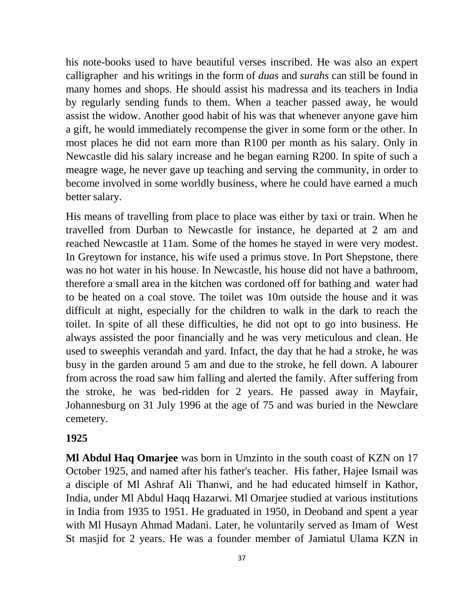his note-books used to have beautiful verses inscribed. He was also an expert calligrapher and his writings in the form of *duas* and *surahs* can still be found in many homes and shops. He should assist his madressa and its teachers in India by regularly sending funds to them. When a teacher passed away, he would assist the widow. Another good habit of his was that whenever anyone gave him a gift, he would immediately recompense the giver in some form or the other. In most places he did not earn more than R100 per month as his salary. Only in Newcastle did his salary increase and he began earning R200. In spite of such a meagre wage, he never gave up teaching and serving the community, in order to become involved in some worldly business, where he could have earned a much better salary.

His means of travelling from place to place was either by taxi or train. When he travelled from Durban to Newcastle for instance, he departed at 2 am and reached Newcastle at 11am. Some of the homes he stayed in were very modest. In Greytown for instance, his wife used a primus stove. In Port Shepstone, there was no hot water in his house. In Newcastle, his house did not have a bathroom, therefore a small area in the kitchen was cordoned off for bathing and water had to be heated on a coal stove. The toilet was 10m outside the house and it was difficult at night, especially for the children to walk in the dark to reach the toilet. In spite of all these difficulties, he did not opt to go into business. He always assisted the poor financially and he was very meticulous and clean. He used to sweephis verandah and yard. Infact, the day that he had a stroke, he was busy in the garden around 5 am and due to the stroke, he fell down. A labourer from across the road saw him falling and alerted the family. After suffering from the stroke, he was bed-ridden for 2 years. He passed away in Mayfair, Johannesburg on 31 July 1996 at the age of 75 and was buried in the Newclare cemetery.

### **1925**

**Ml Abdul Haq Omarjee** was born in Umzinto in the south coast of KZN on 17 October 1925, and named after his father's teacher. His father, Hajee Ismail was a disciple of Ml Ashraf Ali Thanwi, and he had educated himself in Kathor, India, under Ml Abdul Haqq Hazarwi. Ml Omarjee studied at various institutions in India from 1935 to 1951. He graduated in 1950, in Deoband and spent a year with Ml Husayn Ahmad Madani. Later, he voluntarily served as Imam of West St masjid for 2 years. He was a founder member of Jamiatul Ulama KZN in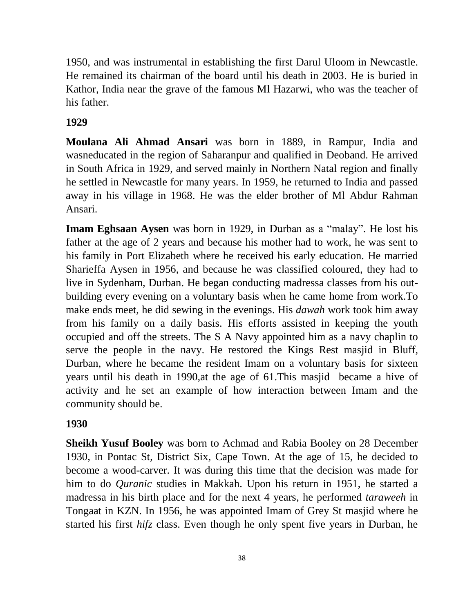1950, and was instrumental in establishing the first Darul Uloom in Newcastle. He remained its chairman of the board until his death in 2003. He is buried in Kathor, India near the grave of the famous Ml Hazarwi, who was the teacher of his father.

## **1929**

**Moulana [Ali Ahmad Ansari](http://en.wikipedia.org/w/index.php?title=Ali_Ahmad_Ansari&action=edit&redlink=1)** was born in 1889, in Rampur, India and wasneducated in the region of Saharanpur and qualified in Deoband. He arrived in South Africa in 1929, and served mainly in Northern Natal region and finally he settled in Newcastle for many years. In 1959, he returned to India and passed away in his village in 1968. He was the elder brother of Ml Abdur Rahman Ansari.

**Imam Eghsaan Aysen** was born in 1929, in Durban as a "malay". He lost his father at the age of 2 years and because his mother had to work, he was sent to his family in Port Elizabeth where he received his early education. He married Sharieffa Aysen in 1956, and because he was classified coloured, they had to live in Sydenham, Durban. He began conducting madressa classes from his outbuilding every evening on a voluntary basis when he came home from work.To make ends meet, he did sewing in the evenings. His *dawah* work took him away from his family on a daily basis. His efforts assisted in keeping the youth occupied and off the streets. The S A Navy appointed him as a navy chaplin to serve the people in the navy. He restored the Kings Rest masjid in Bluff, Durban, where he became the resident Imam on a voluntary basis for sixteen years until his death in 1990,at the age of 61.This masjid became a hive of activity and he set an example of how interaction between Imam and the community should be.

### **1930**

**Sheikh Yusuf Booley** was born to Achmad and Rabia Booley on 28 December 1930, in Pontac St, District Six, Cape Town. At the age of 15, he decided to become a wood-carver. It was during this time that the decision was made for him to do *Quranic* studies in Makkah. Upon his return in 1951, he started a madressa in his birth place and for the next 4 years, he performed *taraweeh* in Tongaat in KZN. In 1956, he was appointed Imam of Grey St masjid where he started his first *hifz* class. Even though he only spent five years in Durban, he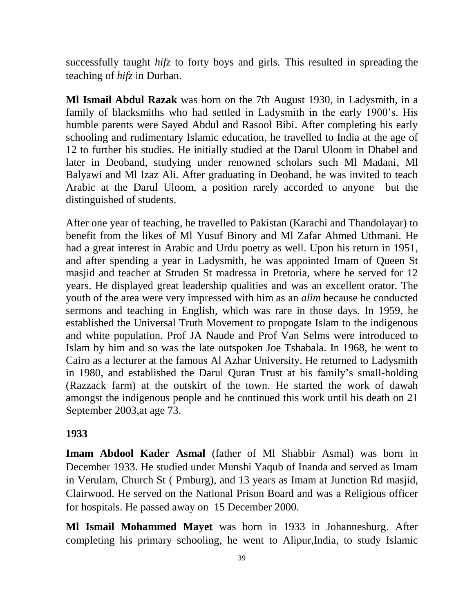successfully taught *hifz* to forty boys and girls. This resulted in spreading the teaching of *hifz* in Durban.

**Ml Ismail Abdul Razak** was born on the 7th August 1930, in Ladysmith, in a family of blacksmiths who had settled in Ladysmith in the early 1900's. His humble parents were Sayed Abdul and Rasool Bibi. After completing his early schooling and rudimentary Islamic education, he travelled to India at the age of 12 to further his studies. He initially studied at the Darul Uloom in Dhabel and later in Deoband, studying under renowned scholars such Ml Madani, Ml Balyawi and Ml Izaz Ali. After graduating in Deoband, he was invited to teach Arabic at the Darul Uloom, a position rarely accorded to anyone but the distinguished of students.

After one year of teaching, he travelled to Pakistan (Karachi and Thandolayar) to benefit from the likes of Ml Yusuf Binory and Ml Zafar Ahmed Uthmani. He had a great interest in Arabic and Urdu poetry as well. Upon his return in 1951, and after spending a year in Ladysmith, he was appointed Imam of Queen St masjid and teacher at Struden St madressa in Pretoria, where he served for 12 years. He displayed great leadership qualities and was an excellent orator. The youth of the area were very impressed with him as an *alim* because he conducted sermons and teaching in English, which was rare in those days. In 1959, he established the Universal Truth Movement to propogate Islam to the indigenous and white population. Prof JA Naude and Prof Van Selms were introduced to Islam by him and so was the late outspoken Joe Tshabala. In 1968, he went to Cairo as a lecturer at the famous Al Azhar University. He returned to Ladysmith in 1980, and established the Darul Quran Trust at his family's small-holding (Razzack farm) at the outskirt of the town. He started the work of dawah amongst the indigenous people and he continued this work until his death on 21 September 2003,at age 73.

#### **1933**

**Imam Abdool Kader Asmal** (father of Ml Shabbir Asmal) was born in December 1933. He studied under Munshi Yaqub of Inanda and served as Imam in Verulam, Church St ( Pmburg), and 13 years as Imam at Junction Rd masjid, Clairwood. He served on the National Prison Board and was a Religious officer for hospitals. He passed away on 15 December 2000.

**Ml Ismail Mohammed Mayet** was born in 1933 in Johannesburg. After completing his primary schooling, he went to Alipur,India, to study Islamic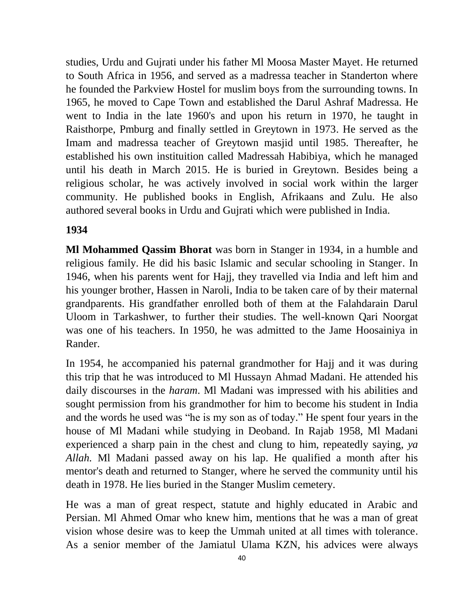studies, Urdu and Gujrati under his father Ml Moosa Master Mayet. He returned to South Africa in 1956, and served as a madressa teacher in Standerton where he founded the Parkview Hostel for muslim boys from the surrounding towns. In 1965, he moved to Cape Town and established the Darul Ashraf Madressa. He went to India in the late 1960's and upon his return in 1970, he taught in Raisthorpe, Pmburg and finally settled in Greytown in 1973. He served as the Imam and madressa teacher of Greytown masjid until 1985. Thereafter, he established his own instituition called Madressah Habibiya, which he managed until his death in March 2015. He is buried in Greytown. Besides being a religious scholar, he was actively involved in social work within the larger community. He published books in English, Afrikaans and Zulu. He also authored several books in Urdu and Gujrati which were published in India.

## **1934**

**Ml Mohammed Qassim Bhorat** was born in Stanger in 1934, in a humble and religious family. He did his basic Islamic and secular schooling in Stanger. In 1946, when his parents went for Hajj, they travelled via India and left him and his younger brother, Hassen in Naroli, India to be taken care of by their maternal grandparents. His grandfather enrolled both of them at the Falahdarain Darul Uloom in Tarkashwer, to further their studies. The well-known Qari Noorgat was one of his teachers. In 1950, he was admitted to the Jame Hoosainiya in Rander.

In 1954, he accompanied his paternal grandmother for Hajj and it was during this trip that he was introduced to Ml Hussayn Ahmad Madani. He attended his daily discourses in the *haram*. Ml Madani was impressed with his abilities and sought permission from his grandmother for him to become his student in India and the words he used was "he is my son as of today." He spent four years in the house of Ml Madani while studying in Deoband. In Rajab 1958, Ml Madani experienced a sharp pain in the chest and clung to him, repeatedly saying, *ya Allah.* Ml Madani passed away on his lap. He qualified a month after his mentor's death and returned to Stanger, where he served the community until his death in 1978. He lies buried in the Stanger Muslim cemetery.

He was a man of great respect, statute and highly educated in Arabic and Persian. Ml Ahmed Omar who knew him, mentions that he was a man of great vision whose desire was to keep the Ummah united at all times with tolerance. As a senior member of the Jamiatul Ulama KZN, his advices were always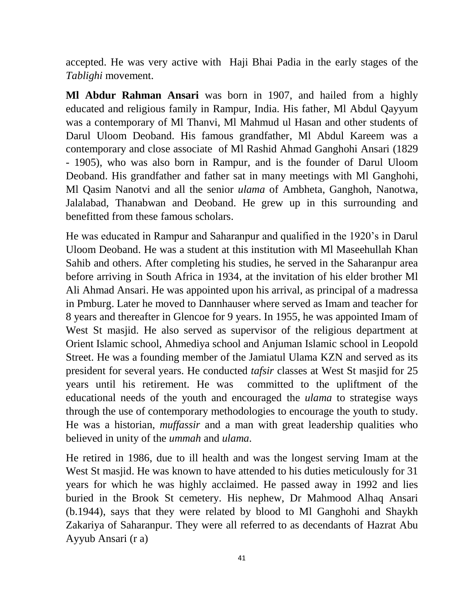accepted. He was very active with Haji Bhai Padia in the early stages of the *Tablighi* movement.

**Ml Abdur Rahman Ansari** was born in 1907, and hailed from a highly educated and religious family in Rampur, India. His father, Ml Abdul Qayyum was a contemporary of Ml Thanvi, Ml Mahmud ul Hasan and other students of Darul Uloom Deoband. His famous grandfather, Ml Abdul Kareem was a contemporary and close associate of Ml Rashid Ahmad Ganghohi Ansari (1829 - 1905), who was also born in Rampur, and is the founder of Darul Uloom Deoband. His grandfather and father sat in many meetings with Ml Ganghohi, Ml Qasim Nanotvi and all the senior *ulama* of Ambheta, Ganghoh, Nanotwa, Jalalabad, Thanabwan and Deoband. He grew up in this surrounding and benefitted from these famous scholars.

He was educated in Rampur and Saharanpur and qualified in the 1920's in Darul Uloom Deoband. He was a student at this institution with Ml Maseehullah Khan Sahib and others. After completing his studies, he served in the Saharanpur area before arriving in South Africa in 1934, at the invitation of his elder brother Ml Ali Ahmad Ansari. He was appointed upon his arrival, as principal of a madressa in Pmburg. Later he moved to Dannhauser where served as Imam and teacher for 8 years and thereafter in Glencoe for 9 years. In 1955, he was appointed Imam of West St masjid. He also served as supervisor of the religious department at Orient Islamic school, Ahmediya school and Anjuman Islamic school in Leopold Street. He was a founding member of the Jamiatul Ulama KZN and served as its president for several years. He conducted *tafsir* classes at West St masjid for 25 years until his retirement. He was committed to the upliftment of the educational needs of the youth and encouraged the *ulama* to strategise ways through the use of contemporary methodologies to encourage the youth to study. He was a historian, *muffassir* and a man with great leadership qualities who believed in unity of the *ummah* and *ulama*.

He retired in 1986, due to ill health and was the longest serving Imam at the West St masjid. He was known to have attended to his duties meticulously for 31 years for which he was highly acclaimed. He passed away in 1992 and lies buried in the Brook St cemetery. His nephew, Dr Mahmood Alhaq Ansari (b.1944), says that they were related by blood to Ml Ganghohi and Shaykh Zakariya of Saharanpur. They were all referred to as decendants of Hazrat Abu Ayyub Ansari (r a)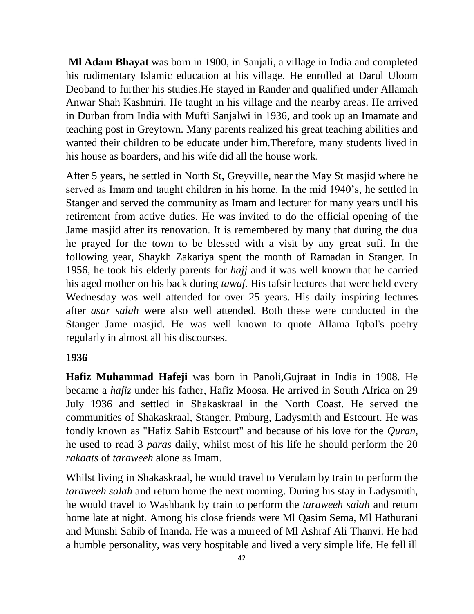**Ml Adam Bhayat** was born in 1900, in Sanjali, a village in India and completed his rudimentary Islamic education at his village. He enrolled at Darul Uloom Deoband to further his studies.He stayed in Rander and qualified under Allamah Anwar Shah Kashmiri. He taught in his village and the nearby areas. He arrived in Durban from India with Mufti Sanjalwi in 1936, and took up an Imamate and teaching post in Greytown. Many parents realized his great teaching abilities and wanted their children to be educate under him.Therefore, many students lived in his house as boarders, and his wife did all the house work.

After 5 years, he settled in North St, Greyville, near the May St masjid where he served as Imam and taught children in his home. In the mid 1940's, he settled in Stanger and served the community as Imam and lecturer for many years until his retirement from active duties. He was invited to do the official opening of the Jame masjid after its renovation. It is remembered by many that during the dua he prayed for the town to be blessed with a visit by any great sufi. In the following year, Shaykh Zakariya spent the month of Ramadan in Stanger. In 1956, he took his elderly parents for *hajj* and it was well known that he carried his aged mother on his back during *tawaf*. His tafsir lectures that were held every Wednesday was well attended for over 25 years. His daily inspiring lectures after *asar salah* were also well attended. Both these were conducted in the Stanger Jame masjid. He was well known to quote Allama Iqbal's poetry regularly in almost all his discourses.

## **1936**

**Hafiz Muhammad Hafeji** was born in Panoli,Gujraat in India in 1908. He became a *hafiz* under his father, Hafiz Moosa. He arrived in South Africa on 29 July 1936 and settled in Shakaskraal in the North Coast. He served the communities of Shakaskraal, Stanger, Pmburg, Ladysmith and Estcourt. He was fondly known as "Hafiz Sahib Estcourt" and because of his love for the *Quran*, he used to read 3 *paras* daily, whilst most of his life he should perform the 20 *rakaats* of *taraweeh* alone as Imam.

Whilst living in Shakaskraal, he would travel to Verulam by train to perform the *taraweeh salah* and return home the next morning. During his stay in Ladysmith, he would travel to Washbank by train to perform the *taraweeh salah* and return home late at night. Among his close friends were Ml Qasim Sema, Ml Hathurani and Munshi Sahib of Inanda. He was a mureed of Ml Ashraf Ali Thanvi. He had a humble personality, was very hospitable and lived a very simple life. He fell ill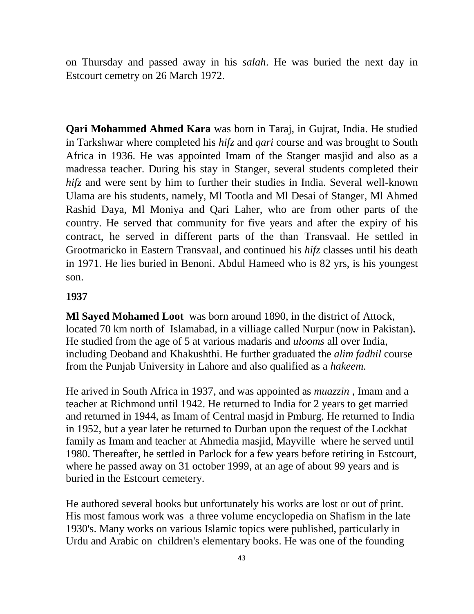on Thursday and passed away in his *salah*. He was buried the next day in Estcourt cemetry on 26 March 1972.

**Qari Mohammed Ahmed Kara** was born in Taraj, in Gujrat, India. He studied in Tarkshwar where completed his *hifz* and *qari* course and was brought to South Africa in 1936. He was appointed Imam of the Stanger masjid and also as a madressa teacher. During his stay in Stanger, several students completed their *hifz* and were sent by him to further their studies in India. Several well-known Ulama are his students, namely, Ml Tootla and Ml Desai of Stanger, Ml Ahmed Rashid Daya, Ml Moniya and Qari Laher, who are from other parts of the country. He served that community for five years and after the expiry of his contract, he served in different parts of the than Transvaal. He settled in Grootmaricko in Eastern Transvaal, and continued his *hifz* classes until his death in 1971. He lies buried in Benoni. Abdul Hameed who is 82 yrs, is his youngest son.

#### **1937**

**Ml Sayed Mohamed Loot** was born around 1890, in the district of Attock, located 70 km north of Islamabad, in a villiage called Nurpur (now in Pakistan)**.**  He studied from the age of 5 at various madaris and *ulooms* all over India, including Deoband and Khakushthi. He further graduated the *alim fadhil* course from the Punjab University in Lahore and also qualified as a *hakeem*.

He arived in South Africa in 1937, and was appointed as *muazzin* , Imam and a teacher at Richmond until 1942. He returned to India for 2 years to get married and returned in 1944, as Imam of Central masjd in Pmburg. He returned to India in 1952, but a year later he returned to Durban upon the request of the Lockhat family as Imam and teacher at Ahmedia masjid, Mayville where he served until 1980. Thereafter, he settled in Parlock for a few years before retiring in Estcourt, where he passed away on 31 october 1999, at an age of about 99 years and is buried in the Estcourt cemetery.

He authored several books but unfortunately his works are lost or out of print. His most famous work was a three volume encyclopedia on Shafism in the late 1930's. Many works on various Islamic topics were published, particularly in Urdu and Arabic on children's elementary books. He was one of the founding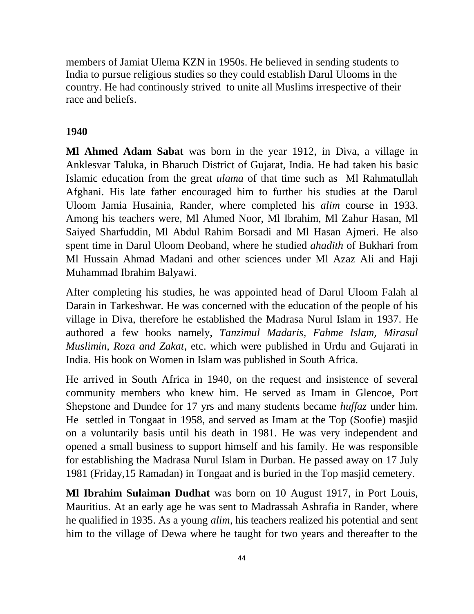members of Jamiat Ulema KZN in 1950s. He believed in sending students to India to pursue religious studies so they could establish Darul Ulooms in the country. He had continously strived to unite all Muslims irrespective of their race and beliefs.

#### **1940**

**Ml Ahmed Adam Sabat** was born in the year 1912, in Diva, a village in Anklesvar Taluka, in Bharuch District of Gujarat, India. He had taken his basic Islamic education from the great *ulama* of that time such as Ml Rahmatullah Afghani. His late father encouraged him to further his studies at the Darul Uloom Jamia Husainia, Rander, where completed his *alim* course in 1933. Among his teachers were, Ml Ahmed Noor, Ml Ibrahim, Ml Zahur Hasan, Ml Saiyed Sharfuddin, Ml Abdul Rahim Borsadi and Ml Hasan Ajmeri. He also spent time in Darul Uloom Deoband, where he studied *ahadith* of Bukhari from Ml Hussain Ahmad Madani and other sciences under Ml Azaz Ali and Haji Muhammad Ibrahim Balyawi.

After completing his studies, he was appointed head of Darul Uloom Falah al Darain in Tarkeshwar. He was concerned with the education of the people of his village in Diva, therefore he established the Madrasa Nurul Islam in 1937. He authored a few books namely, *Tanzimul Madaris, Fahme Islam, Mirasul Muslimin, Roza and Zakat,* etc. which were published in Urdu and Gujarati in India. His book on Women in Islam was published in South Africa.

He arrived in South Africa in 1940, on the request and insistence of several community members who knew him. He served as Imam in Glencoe, Port Shepstone and Dundee for 17 yrs and many students became *huffaz* under him. He settled in Tongaat in 1958, and served as Imam at the Top (Soofie) masjid on a voluntarily basis until his death in 1981. He was very independent and opened a small business to support himself and his family. He was responsible for establishing the Madrasa Nurul Islam in Durban. He passed away on 17 July 1981 (Friday,15 Ramadan) in Tongaat and is buried in the Top masjid cemetery.

**Ml Ibrahim Sulaiman Dudhat** was born on 10 August 1917, in Port Louis, Mauritius. At an early age he was sent to Madrassah Ashrafia in Rander, where he qualified in 1935. As a young *alim,* his teachers realized his potential and sent him to the village of Dewa where he taught for two years and thereafter to the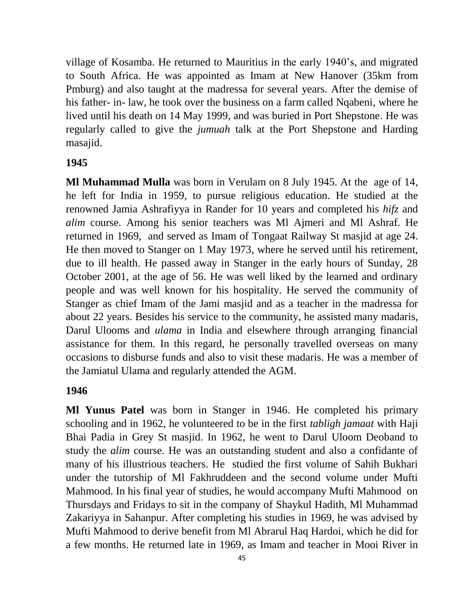village of Kosamba. He returned to Mauritius in the early 1940's, and migrated to South Africa. He was appointed as Imam at New Hanover (35km from Pmburg) and also taught at the madressa for several years. After the demise of his father- in- law, he took over the business on a farm called Nqabeni, where he lived until his death on 14 May 1999, and was buried in Port Shepstone. He was regularly called to give the *jumuah* talk at the Port Shepstone and Harding masajid.

#### **1945**

**Ml Muhammad Mulla** was born in Verulam on 8 July 1945. At the age of 14, he left for India in 1959, to pursue religious education. He studied at the renowned Jamia Ashrafiyya in Rander for 10 years and completed his *hifz* and *alim* course. Among his senior teachers was Ml Ajmeri and Ml Ashraf. He returned in 1969, and served as Imam of Tongaat Railway St masjid at age 24. He then moved to Stanger on 1 May 1973, where he served until his retirement, due to ill health. He passed away in Stanger in the early hours of Sunday, 28 October 2001, at the age of 56. He was well liked by the learned and ordinary people and was well known for his hospitality. He served the community of Stanger as chief Imam of the Jami masjid and as a teacher in the madressa for about 22 years. Besides his service to the community, he assisted many madaris, Darul Ulooms and *ulama* in India and elsewhere through arranging financial assistance for them. In this regard, he personally travelled overseas on many occasions to disburse funds and also to visit these madaris. He was a member of the Jamiatul Ulama and regularly attended the AGM.

#### **1946**

**Ml Yunus Patel** was born in Stanger in 1946. He completed his primary schooling and in 1962, he volunteered to be in the first *tabligh jamaat* with Haji Bhai Padia in Grey St masjid. In 1962, he went to Darul Uloom Deoband to study the *alim* course. He was an outstanding student and also a confidante of many of his illustrious teachers. He studied the first volume of Sahih Bukhari under the tutorship of Ml Fakhruddeen and the second volume under Mufti Mahmood. In his final year of studies, he would accompany Mufti Mahmood on Thursdays and Fridays to sit in the company of Shaykul Hadith, Ml Muhammad Zakariyya in Sahanpur. After completing his studies in 1969, he was advised by Mufti Mahmood to derive benefit from Ml Abrarul Haq Hardoi, which he did for a few months. He returned late in 1969, as Imam and teacher in Mooi River in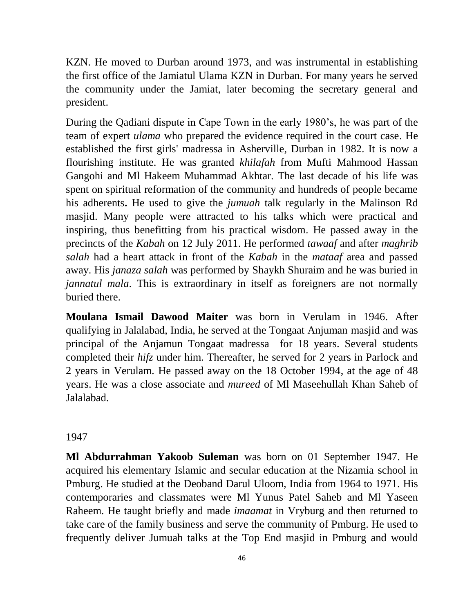KZN. He moved to Durban around 1973, and was instrumental in establishing the first office of the Jamiatul Ulama KZN in Durban. For many years he served the community under the Jamiat, later becoming the secretary general and president.

During the Qadiani dispute in Cape Town in the early 1980's, he was part of the team of expert *ulama* who prepared the evidence required in the court case. He established the first girls' madressa in Asherville, Durban in 1982. It is now a flourishing institute. He was granted *khilafah* from Mufti Mahmood Hassan Gangohi and Ml Hakeem Muhammad Akhtar. The last decade of his life was spent on spiritual reformation of the community and hundreds of people became his adherents**.** He used to give the *jumuah* talk regularly in the Malinson Rd masjid. Many people were attracted to his talks which were practical and inspiring, thus benefitting from his practical wisdom. He passed away in the precincts of the *Kabah* on 12 July 2011. He performed *tawaaf* and after *maghrib salah* had a heart attack in front of the *Kabah* in the *mataaf* area and passed away. His *janaza salah* was performed by Shaykh Shuraim and he was buried in *jannatul mala*. This is extraordinary in itself as foreigners are not normally buried there.

**Moulana Ismail Dawood Maiter** was born in Verulam in 1946. After qualifying in Jalalabad, India, he served at the Tongaat Anjuman masjid and was principal of the Anjamun Tongaat madressa for 18 years. Several students completed their *hifz* under him. Thereafter, he served for 2 years in Parlock and 2 years in Verulam. He passed away on the 18 October 1994, at the age of 48 years. He was a close associate and *mureed* of Ml Maseehullah Khan Saheb of Jalalabad.

#### 1947

**Ml Abdurrahman Yakoob Suleman** was born on 01 September 1947. He acquired his elementary Islamic and secular education at the Nizamia school in Pmburg. He studied at the Deoband Darul Uloom, India from 1964 to 1971. His contemporaries and classmates were Ml Yunus Patel Saheb and Ml Yaseen Raheem. He taught briefly and made *imaamat* in Vryburg and then returned to take care of the family business and serve the community of Pmburg. He used to frequently deliver Jumuah talks at the Top End masjid in Pmburg and would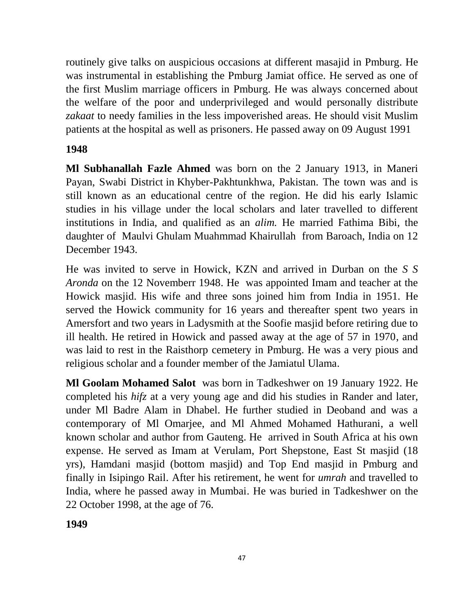routinely give talks on auspicious occasions at different masajid in Pmburg. He was instrumental in establishing the Pmburg Jamiat office. He served as one of the first Muslim marriage officers in Pmburg. He was always concerned about the welfare of the poor and underprivileged and would personally distribute *zakaat* to needy families in the less impoverished areas. He should visit Muslim patients at the hospital as well as prisoners. He passed away on 09 August 1991

# **1948**

**Ml Subhanallah Fazle Ahmed** was born on the 2 January 1913, in Maneri Payan, [Swabi District](http://en.wikipedia.org/wiki/Swabi_District) in [Khyber-Pakhtunkhwa,](http://en.wikipedia.org/wiki/Khyber_Pakhtunkhwa) Pakistan. The town was and is still known as an educational centre of the region. He did his early Islamic studies in his village under the local scholars and later travelled to different institutions in India, and qualified as an *alim.* He married Fathima Bibi, the daughter of Maulvi Ghulam Muahmmad Khairullah from Baroach, India on 12 December 1943.

He was invited to serve in Howick, KZN and arrived in Durban on the *S S Aronda* on the 12 Novemberr 1948. He was appointed Imam and teacher at the Howick masjid. His wife and three sons joined him from India in 1951. He served the Howick community for 16 years and thereafter spent two years in Amersfort and two years in Ladysmith at the Soofie masjid before retiring due to ill health. He retired in Howick and passed away at the age of 57 in 1970, and was laid to rest in the Raisthorp cemetery in Pmburg. He was a very pious and religious scholar and a founder member of the Jamiatul Ulama.

**Ml Goolam Mohamed Salot** was born in Tadkeshwer on 19 January 1922. He completed his *hifz* at a very young age and did his studies in Rander and later, under Ml Badre Alam in Dhabel. He further studied in Deoband and was a contemporary of Ml Omarjee, and Ml Ahmed Mohamed Hathurani, a well known scholar and author from Gauteng. He arrived in South Africa at his own expense. He served as Imam at Verulam, Port Shepstone, East St masjid (18 yrs), Hamdani masjid (bottom masjid) and Top End masjid in Pmburg and finally in Isipingo Rail. After his retirement, he went for *umrah* and travelled to India, where he passed away in Mumbai. He was buried in Tadkeshwer on the 22 October 1998, at the age of 76.

**1949**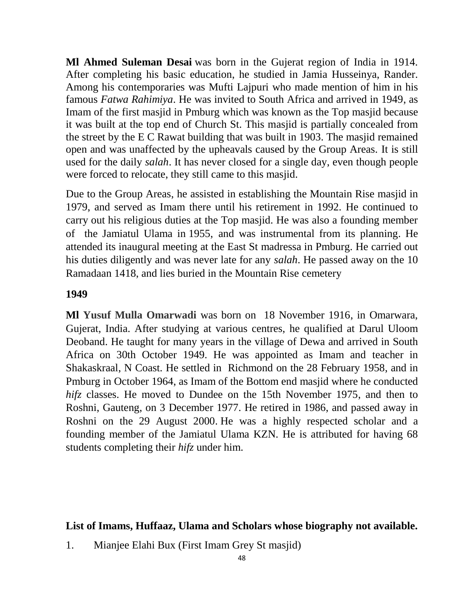**Ml Ahmed Suleman Desai** was born in the Gujerat region of India in 1914. After completing his basic education, he studied in Jamia Husseinya, Rander. Among his contemporaries was Mufti Lajpuri who made mention of him in his famous *Fatwa Rahimiya*. He was invited to South Africa and arrived in 1949, as Imam of the first masjid in Pmburg which was known as the Top masjid because it was built at the top end of Church St. This masjid is partially concealed from the street by the E C Rawat building that was built in 1903. The masjid remained open and was unaffected by the upheavals caused by the Group Areas. It is still used for the daily *salah*. It has never closed for a single day, even though people were forced to relocate, they still came to this masjid.

Due to the Group Areas, he assisted in establishing the Mountain Rise masjid in 1979, and served as Imam there until his retirement in 1992. He continued to carry out his religious duties at the Top masjid. He was also a founding member of the Jamiatul Ulama in 1955, and was instrumental from its planning. He attended its inaugural meeting at the East St madressa in Pmburg. He carried out his duties diligently and was never late for any *salah*. He passed away on the 10 Ramadaan 1418, and lies buried in the Mountain Rise cemetery

#### **1949**

**Ml Yusuf Mulla Omarwadi** was born on 18 November 1916, in Omarwara, Gujerat, India. After studying at various centres, he qualified at Darul Uloom Deoband. He taught for many years in the village of Dewa and arrived in South Africa on 30th October 1949. He was appointed as Imam and teacher in Shakaskraal, N Coast. He settled in Richmond on the 28 February 1958, and in Pmburg in October 1964, as Imam of the Bottom end masjid where he conducted *hifz* classes. He moved to Dundee on the 15th November 1975, and then to Roshni, Gauteng, on 3 December 1977. He retired in 1986, and passed away in Roshni on the 29 August 2000. He was a highly respected scholar and a founding member of the Jamiatul Ulama KZN. He is attributed for having 68 students completing their *hifz* under him.

### **List of Imams, Huffaaz, Ulama and Scholars whose biography not available.**

1. Mianjee Elahi Bux (First Imam Grey St masjid)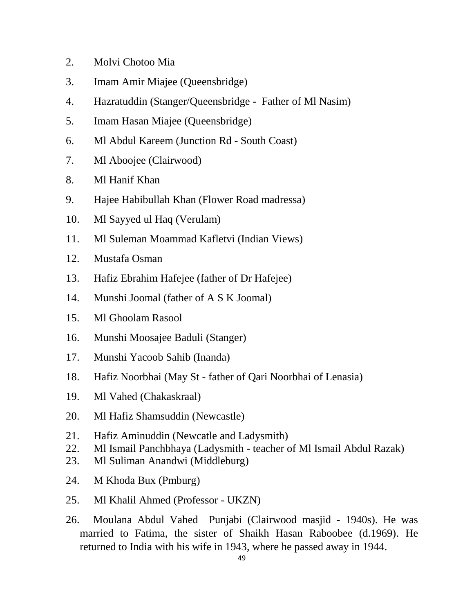- 2. Molvi Chotoo Mia
- 3. Imam Amir Miajee (Queensbridge)
- 4. Hazratuddin (Stanger/Queensbridge Father of Ml Nasim)
- 5. Imam Hasan Miajee (Queensbridge)
- 6. Ml Abdul Kareem (Junction Rd South Coast)
- 7. Ml Aboojee (Clairwood)
- 8. Ml Hanif Khan
- 9. Hajee Habibullah Khan (Flower Road madressa)
- 10. Ml Sayyed ul Haq (Verulam)
- 11. Ml Suleman Moammad Kafletvi (Indian Views)
- 12. Mustafa Osman
- 13. Hafiz Ebrahim Hafejee (father of Dr Hafejee)
- 14. Munshi Joomal (father of A S K Joomal)
- 15. Ml Ghoolam Rasool
- 16. Munshi Moosajee Baduli (Stanger)
- 17. Munshi Yacoob Sahib (Inanda)
- 18. Hafiz Noorbhai (May St father of Qari Noorbhai of Lenasia)
- 19. Ml Vahed (Chakaskraal)
- 20. Ml Hafiz Shamsuddin (Newcastle)
- 21. Hafiz Aminuddin (Newcatle and Ladysmith)
- 22. Ml Ismail Panchbhaya (Ladysmith teacher of Ml Ismail Abdul Razak)
- 23. Ml Suliman Anandwi (Middleburg)
- 24. M Khoda Bux (Pmburg)
- 25. Ml Khalil Ahmed (Professor UKZN)
- 26. Moulana Abdul Vahed Punjabi (Clairwood masjid 1940s). He was married to Fatima, the sister of Shaikh Hasan Raboobee (d.1969). He returned to India with his wife in 1943, where he passed away in 1944.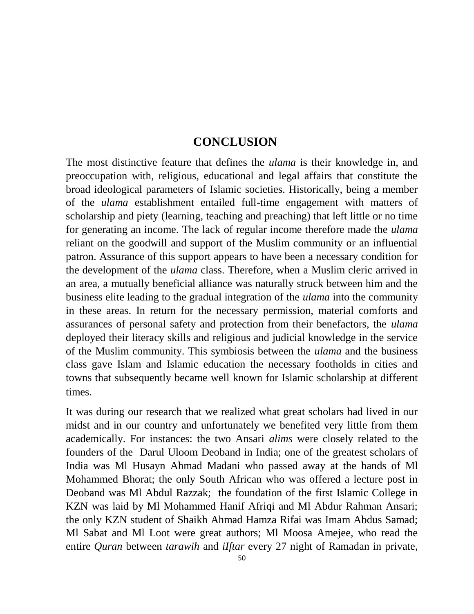# **CONCLUSION**

The most distinctive feature that defines the *ulama* is their knowledge in, and preoccupation with, religious, educational and legal affairs that constitute the broad ideological parameters of Islamic societies. Historically, being a member of the *ulama* establishment entailed full-time engagement with matters of scholarship and piety (learning, teaching and preaching) that left little or no time for generating an income. The lack of regular income therefore made the *ulama* reliant on the goodwill and support of the Muslim community or an influential patron. Assurance of this support appears to have been a necessary condition for the development of the *ulama* class. Therefore, when a Muslim cleric arrived in an area, a mutually beneficial alliance was naturally struck between him and the business elite leading to the gradual integration of the *ulama* into the community in these areas. In return for the necessary permission, material comforts and assurances of personal safety and protection from their benefactors, the *ulama* deployed their literacy skills and religious and judicial knowledge in the service of the Muslim community. This symbiosis between the *ulama* and the business class gave Islam and Islamic education the necessary footholds in cities and towns that subsequently became well known for Islamic scholarship at different times.

It was during our research that we realized what great scholars had lived in our midst and in our country and unfortunately we benefited very little from them academically. For instances: the two Ansari *alims* were closely related to the founders of the Darul Uloom Deoband in India; one of the greatest scholars of India was Ml Husayn Ahmad Madani who passed away at the hands of Ml Mohammed Bhorat; the only South African who was offered a lecture post in Deoband was Ml Abdul Razzak; the foundation of the first Islamic College in KZN was laid by Ml Mohammed Hanif Afriqi and Ml Abdur Rahman Ansari; the only KZN student of Shaikh Ahmad Hamza Rifai was Imam Abdus Samad; Ml Sabat and Ml Loot were great authors; Ml Moosa Amejee, who read the entire *Quran* between *tarawih* and *iIftar* every 27 night of Ramadan in private,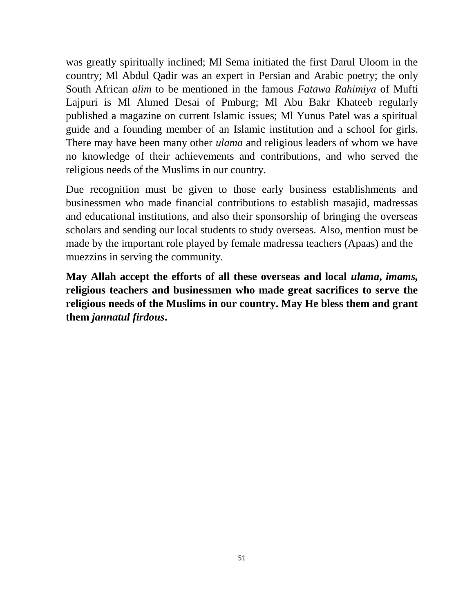was greatly spiritually inclined; Ml Sema initiated the first Darul Uloom in the country; Ml Abdul Qadir was an expert in Persian and Arabic poetry; the only South African *alim* to be mentioned in the famous *Fatawa Rahimiya* of Mufti Lajpuri is Ml Ahmed Desai of Pmburg; Ml Abu Bakr Khateeb regularly published a magazine on current Islamic issues; Ml Yunus Patel was a spiritual guide and a founding member of an Islamic institution and a school for girls. There may have been many other *ulama* and religious leaders of whom we have no knowledge of their achievements and contributions, and who served the religious needs of the Muslims in our country.

Due recognition must be given to those early business establishments and businessmen who made financial contributions to establish masajid, madressas and educational institutions, and also their sponsorship of bringing the overseas scholars and sending our local students to study overseas. Also, mention must be made by the important role played by female madressa teachers (Apaas) and the muezzins in serving the community.

**May Allah accept the efforts of all these overseas and local** *ulama***,** *imams,* **religious teachers and businessmen who made great sacrifices to serve the religious needs of the Muslims in our country. May He bless them and grant them** *jannatul firdous***.**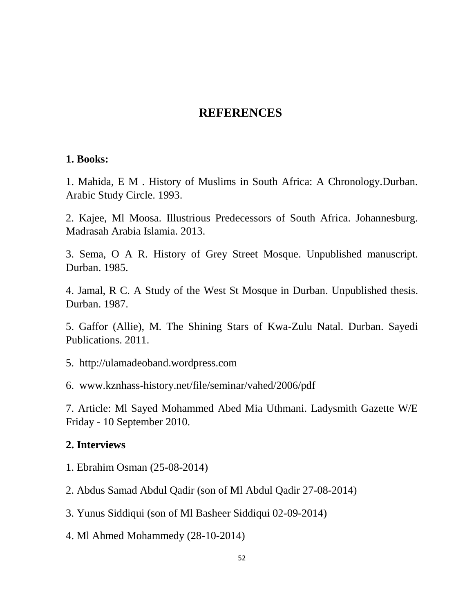# **REFERENCES**

#### **1. Books:**

1. Mahida, E M . History of Muslims in South Africa: A Chronology.Durban. Arabic Study Circle. 1993.

2. Kajee, Ml Moosa. Illustrious Predecessors of South Africa. Johannesburg. Madrasah Arabia Islamia. 2013.

3. Sema, O A R. History of Grey Street Mosque. Unpublished manuscript. Durban. 1985.

4. Jamal, R C. A Study of the West St Mosque in Durban. Unpublished thesis. Durban. 1987.

5. Gaffor (Allie), M. The Shining Stars of Kwa-Zulu Natal. Durban. Sayedi Publications. 2011.

5. [http://ulamadeoband.wordpress.com](http://ulamadeoband.wordpress.com/)

6. www.kznhass-history.net/file/seminar/vahed/2006/pdf

7. Article: Ml Sayed Mohammed Abed Mia Uthmani. Ladysmith Gazette W/E Friday - 10 September 2010.

### **2. Interviews**

- 1. Ebrahim Osman (25-08-2014)
- 2. Abdus Samad Abdul Qadir (son of Ml Abdul Qadir 27-08-2014)
- 3. Yunus Siddiqui (son of Ml Basheer Siddiqui 02-09-2014)
- 4. Ml Ahmed Mohammedy (28-10-2014)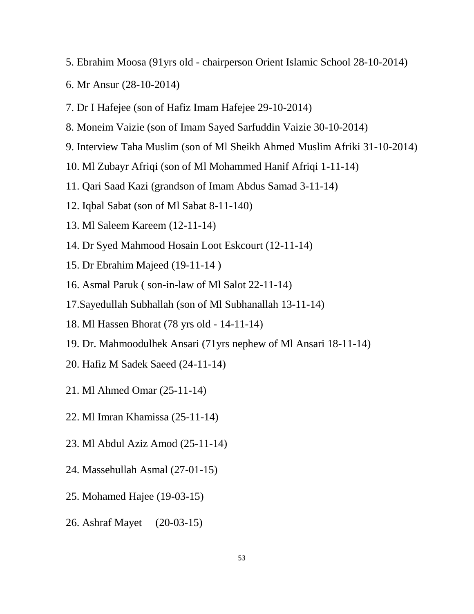- 5. Ebrahim Moosa (91yrs old chairperson Orient Islamic School 28-10-2014)
- 6. Mr Ansur (28-10-2014)
- 7. Dr I Hafejee (son of Hafiz Imam Hafejee 29-10-2014)
- 8. Moneim Vaizie (son of Imam Sayed Sarfuddin Vaizie 30-10-2014)
- 9. Interview Taha Muslim (son of Ml Sheikh Ahmed Muslim Afriki 31-10-2014)
- 10. Ml Zubayr Afriqi (son of Ml Mohammed Hanif Afriqi 1-11-14)
- 11. Qari Saad Kazi (grandson of Imam Abdus Samad 3-11-14)
- 12. Iqbal Sabat (son of Ml Sabat 8-11-140)
- 13. Ml Saleem Kareem (12-11-14)
- 14. Dr Syed Mahmood Hosain Loot Eskcourt (12-11-14)
- 15. Dr Ebrahim Majeed (19-11-14 )
- 16. Asmal Paruk ( son-in-law of Ml Salot 22-11-14)
- 17.Sayedullah Subhallah (son of Ml Subhanallah 13-11-14)
- 18. Ml Hassen Bhorat (78 yrs old 14-11-14)
- 19. Dr. Mahmoodulhek Ansari (71yrs nephew of Ml Ansari 18-11-14)
- 20. Hafiz M Sadek Saeed (24-11-14)
- 21. Ml Ahmed Omar (25-11-14)
- 22. Ml Imran Khamissa (25-11-14)
- 23. Ml Abdul Aziz Amod (25-11-14)
- 24. Massehullah Asmal (27-01-15)
- 25. Mohamed Hajee (19-03-15)
- 26. Ashraf Mayet (20-03-15)